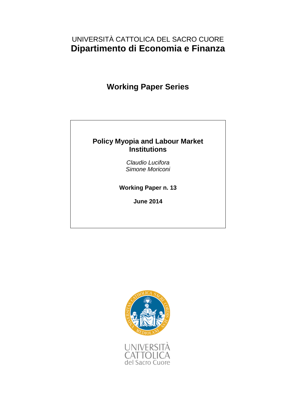# UNIVERSITÀ CATTOLICA DEL SACRO CUORE **Dipartimento di Economia e Finanza**

# **Working Paper Series**

### **Policy Myopia and Labour Market Institutions**

*Claudio Lucifora Simone Moriconi*

**Working Paper n. 13**

**June 2014**

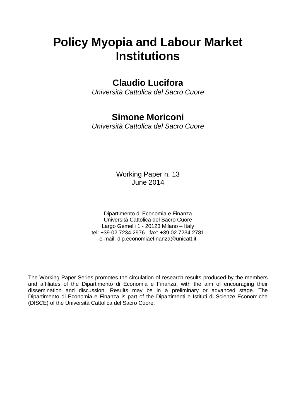# **Policy Myopia and Labour Market Institutions**

# **Claudio Lucifora**

*Università Cattolica del Sacro Cuore*

# **Simone Moriconi**

*Università Cattolica del Sacro Cuore*

Working Paper n. 13 June 2014

Dipartimento di Economia e Finanza Università Cattolica del Sacro Cuore Largo Gemelli 1 - 20123 Milano – Italy tel: +39.02.7234.2976 - fax: +39.02.7234.2781 e-mail: dip.economiaefinanza@unicatt.it

The Working Paper Series promotes the circulation of research results produced by the members and affiliates of the Dipartimento di Economia e Finanza, with the aim of encouraging their dissemination and discussion. Results may be in a preliminary or advanced stage. The Dipartimento di Economia e Finanza is part of the Dipartimenti e Istituti di Scienze Economiche (DISCE) of the Università Cattolica del Sacro Cuore.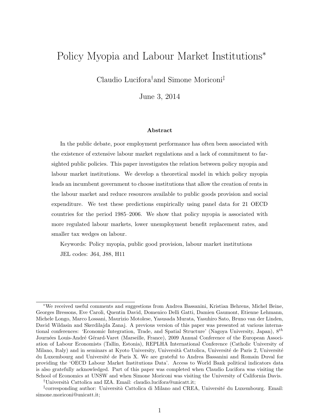# Policy Myopia and Labour Market Institutions<sup>∗</sup>

Claudio Lucifora†and Simone Moriconi‡

June 3, 2014

#### Abstract

In the public debate, poor employment performance has often been associated with the existence of extensive labour market regulations and a lack of commitment to farsighted public policies. This paper investigates the relation between policy myopia and labour market institutions. We develop a theoretical model in which policy myopia leads an incumbent government to choose institutions that allow the creation of rents in the labour market and reduce resources available to public goods provision and social expenditure. We test these predictions empirically using panel data for 21 OECD countries for the period 1985–2006. We show that policy myopia is associated with more regulated labour markets, lower unemployment benefit replacement rates, and smaller tax wedges on labour.

Keywords: Policy myopia, public good provision, labour market institutions JEL codes: J64, J88, H11

<sup>∗</sup>We received useful comments and suggestions from Andrea Bassanini, Kristian Behrens, Michel Beine, Georges Bressons, Eve Caroli, Quentin David, Domenico Delli Gatti, Damien Gaumont, Etienne Lehmann, Michele Longo, Marco Lossani, Maurizio Motolese, Yasusada Murata, Yasuhiro Sato, Bruno van der Linden, David Wildasin and Skerdilajda Zanaj. A previous version of this paper was presented at various international conferences: 'Economic Integration, Trade, and Spatial Structure' (Nagoya University, Japan),  $8^{th}$ Journées Louis-André Gérard-Varet (Marseille, France), 2009 Annual Conference of the European Association of Labour Economists (Tallin, Estonia), REPLHA International Conference (Catholic University of Milano, Italy) and in seminars at Kyoto University, Università Cattolica, Université de Paris 2, Université du Luxembourg and Universit´e de Paris X. We are grateful to Andrea Bassanini and Romain Duval for providing the 'OECD Labour Market Institutions Data'. Access to World Bank political indicators data is also gratefully acknowledged. Part of this paper was completed when Claudio Lucifora was visiting the School of Economics at UNSW and when Simone Moriconi was visiting the University of California Davis. <sup>†</sup>Università Cattolica and IZA. Email: claudio.lucifora@unicatt.it;

<sup>&</sup>lt;sup>‡</sup>corresponding author: Università Cattolica di Milano and CREA, Université du Luxembourg. Email: simone.moriconi@unicatt.it;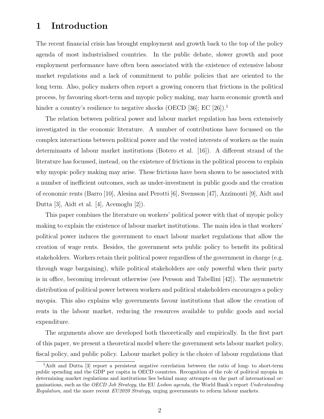### 1 Introduction

The recent financial crisis has brought employment and growth back to the top of the policy agenda of most industrialised countries. In the public debate, slower growth and poor employment performance have often been associated with the existence of extensive labour market regulations and a lack of commitment to public policies that are oriented to the long term. Also, policy makers often report a growing concern that frictions in the political process, by favouring short-term and myopic policy making, may harm economic growth and hinder a country's resilience to negative shocks (OECD [36]; EC [26]).<sup>1</sup>

The relation between political power and labour market regulation has been extensively investigated in the economic literature. A number of contributions have focussed on the complex interactions between political power and the vested interests of workers as the main determinants of labour market institutions (Botero et al. [16]). A different strand of the literature has focussed, instead, on the existence of frictions in the political process to explain why myopic policy making may arise. These frictions have been shown to be associated with a number of inefficient outcomes, such as under-investment in public goods and the creation of economic rents (Barro [10], Alesina and Perotti [6], Svensson [47], Azzimonti [9], Aidt and Dutta [3], Aidt et al. [4], Acemoglu [2]).

This paper combines the literature on workers' political power with that of myopic policy making to explain the existence of labour market institutions. The main idea is that workers' political power induces the government to enact labour market regulations that allow the creation of wage rents. Besides, the government sets public policy to benefit its political stakeholders. Workers retain their political power regardless of the government in charge (e.g. through wage bargaining), while political stakeholders are only powerful when their party is in office, becoming irrelevant otherwise (see Persson and Tabellini [42]). The asymmetric distribution of political power between workers and political stakeholders encourages a policy myopia. This also explains why governments favour institutions that allow the creation of rents in the labour market, reducing the resources available to public goods and social expenditure.

The arguments above are developed both theoretically and empirically. In the first part of this paper, we present a theoretical model where the government sets labour market policy, fiscal policy, and public policy. Labour market policy is the choice of labour regulations that

<sup>1</sup>Aidt and Dutta [3] report a persistent negative correlation between the ratio of long- to short-term public spending and the GDP per capita in OECD countries. Recognition of the role of political myopia in determining market regulations and institutions lies behind many attempts on the part of international organisations, such as the OECD Job Strategy, the EU Lisbon agenda, the World Bank's report Understanding Regulation, and the more recent  $EU2020$  Strategy, urging governments to reform labour markets.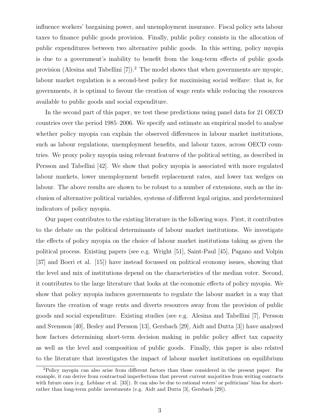influence workers' bargaining power, and unemployment insurance. Fiscal policy sets labour taxes to finance public goods provision. Finally, public policy consists in the allocation of public expenditures between two alternative public goods. In this setting, policy myopia is due to a government's inability to benefit from the long-term effects of public goods provision (Alesina and Tabellini [7]).<sup>2</sup> The model shows that when governments are myopic, labour market regulation is a second-best policy for maximising social welfare: that is, for governments, it is optimal to favour the creation of wage rents while reducing the resources available to public goods and social expenditure.

In the second part of this paper, we test these predictions using panel data for 21 OECD countries over the period 1985–2006. We specify and estimate an empirical model to analyse whether policy myopia can explain the observed differences in labour market institutions, such as labour regulations, unemployment benefits, and labour taxes, across OECD countries. We proxy policy myopia using relevant features of the political setting, as described in Persson and Tabellini [42]. We show that policy myopia is associated with more regulated labour markets, lower unemployment benefit replacement rates, and lower tax wedges on labour. The above results are shown to be robust to a number of extensions, such as the inclusion of alternative political variables, systems of different legal origins, and predetermined indicators of policy myopia.

Our paper contributes to the existing literature in the following ways. First, it contributes to the debate on the political determinants of labour market institutions. We investigate the effects of policy myopia on the choice of labour market institutions taking as given the political process. Existing papers (see e.g. Wright [51], Saint-Paul [45], Pagano and Volpin [37] and Boeri et al. [15]) have instead focussed on political economy issues, showing that the level and mix of institutions depend on the characteristics of the median voter. Second, it contributes to the large literature that looks at the economic effects of policy myopia. We show that policy myopia induces governments to regulate the labour market in a way that favours the creation of wage rents and diverts resources away from the provision of public goods and social expenditure. Existing studies (see e.g. Alesina and Tabellini [7], Persson and Svensson [40], Besley and Persson [13], Gersbach [29], Aidt and Dutta [3]) have analysed how factors determining short-term decision making in public policy affect tax capacity as well as the level and composition of public goods. Finally, this paper is also related to the literature that investigates the impact of labour market institutions on equilibrium

<sup>2</sup>Policy myopia can also arise from different factors than those considered in the present paper. For example, it can derive from contractual imperfections that prevent current majorities from writing contracts with future ones (e.g. Leblanc et al. [33]). It can also be due to rational voters' or politicians' bias for shortrather than long-term public investments (e.g. Aidt and Dutta [3], Gersbach [29]).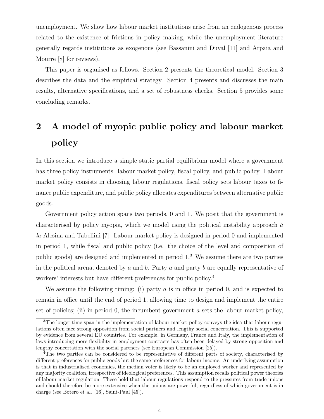unemployment. We show how labour market institutions arise from an endogenous process related to the existence of frictions in policy making, while the unemployment literature generally regards institutions as exogenous (see Bassanini and Duval [11] and Arpaia and Mourre [8] for reviews).

This paper is organised as follows. Section 2 presents the theoretical model. Section 3 describes the data and the empirical strategy. Section 4 presents and discusses the main results, alternative specifications, and a set of robustness checks. Section 5 provides some concluding remarks.

# 2 A model of myopic public policy and labour market policy

In this section we introduce a simple static partial equilibrium model where a government has three policy instruments: labour market policy, fiscal policy, and public policy. Labour market policy consists in choosing labour regulations, fiscal policy sets labour taxes to finance public expenditure, and public policy allocates expenditures between alternative public goods.

Government policy action spans two periods, 0 and 1. We posit that the government is characterised by policy myopia, which we model using the political instability approach  $\dot{a}$ la Alesina and Tabellini [7]. Labour market policy is designed in period 0 and implemented in period 1, while fiscal and public policy (i.e. the choice of the level and composition of public goods) are designed and implemented in period 1.<sup>3</sup> We assume there are two parties in the political arena, denoted by a and b. Party a and party b are equally representative of workers' interests but have different preferences for public policy.<sup>4</sup>

We assume the following timing: (i) party a is in office in period 0, and is expected to remain in office until the end of period 1, allowing time to design and implement the entire set of policies; (ii) in period 0, the incumbent government  $a$  sets the labour market policy,

<sup>&</sup>lt;sup>3</sup>The longer time span in the implementation of labour market policy conveys the idea that labour regulations often face strong opposition from social partners and lengthy social concertation. This is supported by evidence from several EU countries. For example, in Germany, France and Italy, the implementation of laws introducing more flexibility in employment contracts has often been delayed by strong opposition and lengthy concertation with the social partners (see European Commission [25]).

<sup>4</sup>The two parties can be considered to be representative of different parts of society, characterised by different preferences for public goods but the same preferences for labour income. An underlying assumption is that in industrialised economies, the median voter is likely to be an employed worker and represented by any majority coalition, irrespective of ideological preferences. This assumption recalls political power theories of labour market regulation. These hold that labour regulations respond to the pressures from trade unions and should therefore be more extensive when the unions are powerful, regardless of which government is in charge (see Botero et al. [16], Saint-Paul [45]).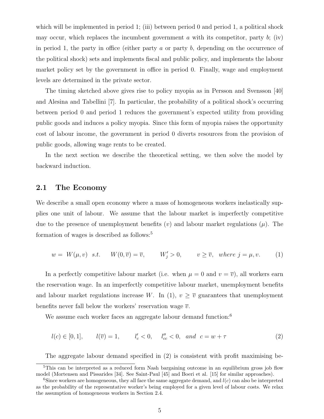which will be implemented in period 1; (iii) between period 0 and period 1, a political shock may occur, which replaces the incumbent government  $\alpha$  with its competitor, party  $\dot{b}$ ; (iv) in period 1, the party in office (either party a or party b, depending on the occurrence of the political shock) sets and implements fiscal and public policy, and implements the labour market policy set by the government in office in period 0. Finally, wage and employment levels are determined in the private sector.

The timing sketched above gives rise to policy myopia as in Persson and Svensson [40] and Alesina and Tabellini [7]. In particular, the probability of a political shock's occurring between period 0 and period 1 reduces the government's expected utility from providing public goods and induces a policy myopia. Since this form of myopia raises the opportunity cost of labour income, the government in period 0 diverts resources from the provision of public goods, allowing wage rents to be created.

In the next section we describe the theoretical setting, we then solve the model by backward induction.

#### 2.1 The Economy

We describe a small open economy where a mass of homogeneous workers inelastically supplies one unit of labour. We assume that the labour market is imperfectly competitive due to the presence of unemployment benefits (v) and labour market regulations  $(\mu)$ . The formation of wages is described as follows:<sup>5</sup>

$$
w = W(\mu, v) \quad s.t. \qquad W(0, \overline{v}) = \overline{v}, \qquad W'_j > 0, \qquad v \ge \overline{v}, \quad where \ j = \mu, v. \tag{1}
$$

In a perfectly competitive labour market (i.e. when  $\mu = 0$  and  $v = \overline{v}$ ), all workers earn the reservation wage. In an imperfectly competitive labour market, unemployment benefits and labour market regulations increase W. In (1),  $v \geq \overline{v}$  guarantees that unemployment benefits never fall below the workers' reservation wage  $\bar{v}$ .

We assume each worker faces an aggregate labour demand function:<sup>6</sup>

 $l(c) \in [0, 1], \qquad l(\overline{v}) = 1, \qquad l'_c < 0, \quad l''_{cc} < 0, \text{ and } c = w + \tau$  (2)

The aggregate labour demand specified in (2) is consistent with profit maximising be-

<sup>&</sup>lt;sup>5</sup>This can be interpreted as a reduced form Nash bargaining outcome in an equilibrium gross job flow model (Mortensen and Pissarides [34]. See Saint-Paul [45] and Boeri et al. [15] for similar approaches).

<sup>&</sup>lt;sup>6</sup>Since workers are homogeneous, they all face the same aggregate demand, and  $l(c)$  can also be interpreted as the probability of the representative worker's being employed for a given level of labour costs. We relax the assumption of homogeneous workers in Section 2.4.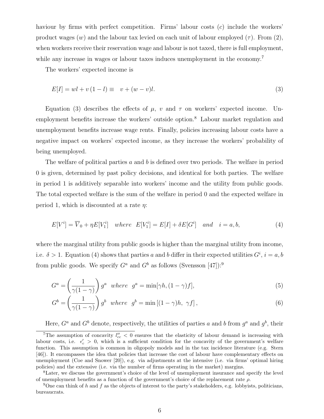haviour by firms with perfect competition. Firms' labour costs  $(c)$  include the workers' product wages  $(w)$  and the labour tax levied on each unit of labour employed  $(\tau)$ . From  $(2)$ , when workers receive their reservation wage and labour is not taxed, there is full employment, while any increase in wages or labour taxes induces unemployment in the economy.<sup>7</sup>

The workers' expected income is

$$
E[I] = wl + v(1 - l) \equiv v + (w - v)l. \tag{3}
$$

Equation (3) describes the effects of  $\mu$ , v and  $\tau$  on workers' expected income. Unemployment benefits increase the workers' outside option.<sup>8</sup> Labour market regulation and unemployment benefits increase wage rents. Finally, policies increasing labour costs have a negative impact on workers' expected income, as they increase the workers' probability of being unemployed.

The welfare of political parties a and b is defined over two periods. The welfare in period 0 is given, determined by past policy decisions, and identical for both parties. The welfare in period 1 is additively separable into workers' income and the utility from public goods. The total expected welfare is the sum of the welfare in period 0 and the expected welfare in period 1, which is discounted at a rate  $\eta$ :

$$
E[V^i] = \overline{V}_0 + \eta E[V_1^i] \quad where \quad E[V_1^i] = E[I] + \delta E[G^i] \quad and \quad i = a, b,
$$
\n
$$
(4)
$$

where the marginal utility from public goods is higher than the marginal utility from income, i.e.  $\delta > 1$ . Equation (4) shows that parties a and b differ in their expected utilities  $G^i$ ,  $i = a, b$ from public goods. We specify  $G^a$  and  $G^b$  as follows (Svensson [47]):<sup>9</sup>

$$
G^{a} = \left(\frac{1}{\gamma(1-\gamma)}\right)g^{a} \text{ where } g^{a} = \min[\gamma h, (1-\gamma)f],\tag{5}
$$

$$
G^{b} = \left(\frac{1}{\gamma(1-\gamma)}\right)g^{b} \text{ where } g^{b} = \min\left[(1-\gamma)h, \gamma f\right],\tag{6}
$$

Here,  $G^a$  and  $G^b$  denote, respectively, the utilities of parties a and b from  $g^a$  and  $g^b$ , their

<sup>&</sup>lt;sup>7</sup>The assumption of concavity  $l''_{cc}$  < 0 ensures that the elasticity of labour demand is increasing with labour costs, i.e.  $\epsilon'_{c} > 0$ , which is a sufficient condition for the concavity of the government's welfare function. This assumption is common in oligopoly models and in the tax incidence literature (e.g. Stern [46]). It encompasses the idea that policies that increase the cost of labour have complementary effects on unemployment (Coe and Snower [20]), e.g. via adjustments at the intensive (i.e. via firms' optimal hiring policies) and the extensive (i.e. via the number of firms operating in the market) margins.

<sup>8</sup>Later, we discuss the government's choice of the level of unemployment insurance and specify the level of unemployment benefits as a function of the government's choice of the replacement rate  $\rho$ .

<sup>&</sup>lt;sup>9</sup>One can think of h and f as the objects of interest to the party's stakeholders, e.g. lobbyists, politicians, bureaucrats.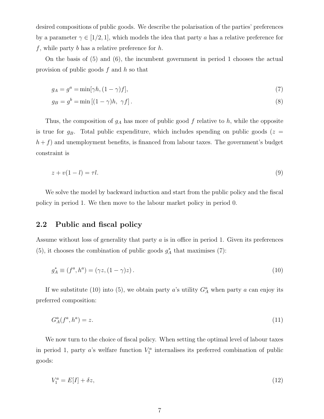desired compositions of public goods. We describe the polarisation of the parties' preferences by a parameter  $\gamma \in [1/2, 1]$ , which models the idea that party a has a relative preference for  $f$ , while party  $b$  has a relative preference for  $h$ .

On the basis of (5) and (6), the incumbent government in period 1 chooses the actual provision of public goods  $f$  and  $h$  so that

$$
g_A = g^a = \min[\gamma h, (1 - \gamma)f],\tag{7}
$$

$$
g_B = g^b = \min\left[ (1 - \gamma)h, \ \gamma f \right]. \tag{8}
$$

Thus, the composition of  $g_A$  has more of public good f relative to h, while the opposite is true for  $g_B$ . Total public expenditure, which includes spending on public goods ( $z =$  $h + f$ ) and unemployment benefits, is financed from labour taxes. The government's budget constraint is

$$
z + v(1 - l) = \tau l. \tag{9}
$$

We solve the model by backward induction and start from the public policy and the fiscal policy in period 1. We then move to the labour market policy in period 0.

#### 2.2 Public and fiscal policy

Assume without loss of generality that party a is in office in period 1. Given its preferences (5), it chooses the combination of public goods  $g_A^*$  that maximises (7):

$$
g_A^* \equiv (f^a, h^a) = (\gamma z, (1 - \gamma)z). \tag{10}
$$

If we substitute (10) into (5), we obtain party a's utility  $G_A^a$  when party a can enjoy its preferred composition:

$$
G_A^a(f^a, h^a) = z. \tag{11}
$$

We now turn to the choice of fiscal policy. When setting the optimal level of labour taxes in period 1, party a's welfare function  $V_1^a$  internalises its preferred combination of public goods:

$$
V_1^a = E[I] + \delta z,\tag{12}
$$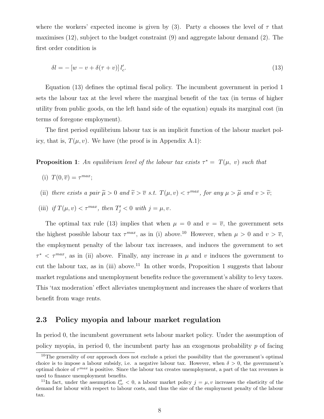where the workers' expected income is given by (3). Party a chooses the level of  $\tau$  that maximises (12), subject to the budget constraint (9) and aggregate labour demand (2). The first order condition is

$$
\delta l = -\left[w - v + \delta(\tau + v)\right]l_c'.
$$
\n<sup>(13)</sup>

Equation (13) defines the optimal fiscal policy. The incumbent government in period 1 sets the labour tax at the level where the marginal benefit of the tax (in terms of higher utility from public goods, on the left hand side of the equation) equals its marginal cost (in terms of foregone employment).

The first period equilibrium labour tax is an implicit function of the labour market policy, that is,  $T(\mu, v)$ . We have (the proof is in Appendix A.1):

**Proposition 1**: An equilibrium level of the labour tax exists  $\tau^* = T(\mu, v)$  such that

- (i)  $T(0, \overline{v}) = \tau^{max};$
- (ii) there exists a pair  $\tilde{\mu} > 0$  and  $\tilde{v} > \overline{v}$  s.t.  $T(\mu, v) < \tau^{max}$ , for any  $\mu > \tilde{\mu}$  and  $v > \tilde{v}$ ;
- (iii) if  $T(\mu, v) < \tau^{max}$ , then  $T'_j < 0$  with  $j = \mu, v$ .

The optimal tax rule (13) implies that when  $\mu = 0$  and  $v = \overline{v}$ , the government sets the highest possible labour tax  $\tau^{max}$ , as in (i) above.<sup>10</sup> However, when  $\mu > 0$  and  $v > \overline{v}$ , the employment penalty of the labour tax increases, and induces the government to set  $\tau^* < \tau^{max}$ , as in (ii) above. Finally, any increase in  $\mu$  and  $\upsilon$  induces the government to cut the labour tax, as in (iii) above.<sup>11</sup> In other words, Proposition 1 suggests that labour market regulations and unemployment benefits reduce the government's ability to levy taxes. This 'tax moderation' effect alleviates unemployment and increases the share of workers that benefit from wage rents.

#### 2.3 Policy myopia and labour market regulation

In period 0, the incumbent government sets labour market policy. Under the assumption of policy myopia, in period 0, the incumbent party has an exogenous probability  $p$  of facing

<sup>&</sup>lt;sup>10</sup>The generality of our approach does not exclude a priori the possibility that the government's optimal choice is to impose a labour subsidy, i.e. a negative labour tax. However, when  $\delta > 0$ , the government's optimal choice of  $\tau^{max}$  is positive. Since the labour tax creates unemployment, a part of the tax revenues is used to finance unemployment benefits.

<sup>&</sup>lt;sup>11</sup>In fact, under the assumption  $l''_{cc} < 0$ , a labour market policy  $j = \mu, v$  increases the elasticity of the demand for labour with respect to labour costs, and thus the size of the employment penalty of the labour tax.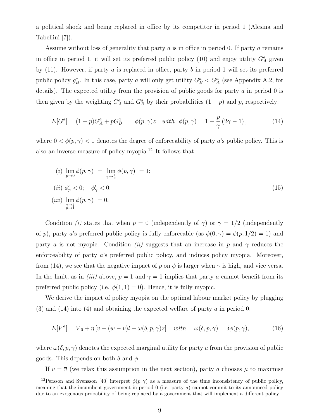a political shock and being replaced in office by its competitor in period 1 (Alesina and Tabellini [7]).

Assume without loss of generality that party a is in office in period 0. If party a remains in office in period 1, it will set its preferred public policy (10) and enjoy utility  $G_A^a$  given by  $(11)$ . However, if party a is replaced in office, party b in period 1 will set its preferred public policy  $g_B^*$ . In this case, party a will only get utility  $G_B^a < G_A^a$  (see Appendix A.2, for details). The expected utility from the provision of public goods for party  $\alpha$  in period 0 is then given by the weighting  $G_A^a$  and  $G_B^a$  by their probabilities  $(1 - p)$  and p, respectively:

$$
E[G^{a}] = (1-p)G^{a}_{A} + pG^{a}_{B} = \phi(p,\gamma)z \quad with \ \phi(p,\gamma) = 1 - \frac{p}{\gamma}(2\gamma - 1), \tag{14}
$$

where  $0 < \phi(p, \gamma) < 1$  denotes the degree of enforceability of party a's public policy. This is also an inverse measure of policy myopia.<sup>12</sup> It follows that

$$
(i) \lim_{p \to 0} \phi(p, \gamma) = \lim_{\gamma \to \frac{1}{2}} \phi(p, \gamma) = 1;
$$
  
\n
$$
(ii) \phi'_p < 0; \quad \phi'_\gamma < 0;
$$
  
\n
$$
(iii) \lim_{\substack{\gamma \to 1 \\ p \to 1}} \phi(p, \gamma) = 0.
$$
\n
$$
(15)
$$

Condition *(i)* states that when  $p = 0$  (independently of  $\gamma$ ) or  $\gamma = 1/2$  (independently of p), party a's preferred public policy is fully enforceable (as  $\phi(0, \gamma) = \phi(p, 1/2) = 1$ ) and party a is not myopic. Condition (ii) suggests that an increase in p and  $\gamma$  reduces the enforceability of party a's preferred public policy, and induces policy myopia. Moreover, from (14), we see that the negative impact of p on  $\phi$  is larger when  $\gamma$  is high, and vice versa. In the limit, as in *(iii)* above,  $p = 1$  and  $\gamma = 1$  implies that party a cannot benefit from its preferred public policy (i.e.  $\phi(1,1) = 0$ ). Hence, it is fully myopic.

We derive the impact of policy myopia on the optimal labour market policy by plugging (3) and (14) into (4) and obtaining the expected welfare of party a in period 0:

$$
E[V^{a}] = \overline{V}_{0} + \eta \left[ v + (w - v)l + \omega(\delta, p, \gamma)z \right] \quad with \quad \omega(\delta, p, \gamma) = \delta\phi(p, \gamma), \tag{16}
$$

where  $\omega(\delta, p, \gamma)$  denotes the expected marginal utility for party a from the provision of public goods. This depends on both  $\delta$  and  $\phi$ .

If  $v = \overline{v}$  (we relax this assumption in the next section), party a chooses  $\mu$  to maximise

<sup>&</sup>lt;sup>12</sup>Persson and Svensson [40] interpret  $\phi(p, \gamma)$  as a measure of the time inconsistency of public policy, meaning that the incumbent government in period  $0$  (i.e. party  $a$ ) cannot commit to its announced policy due to an exogenous probability of being replaced by a government that will implement a different policy.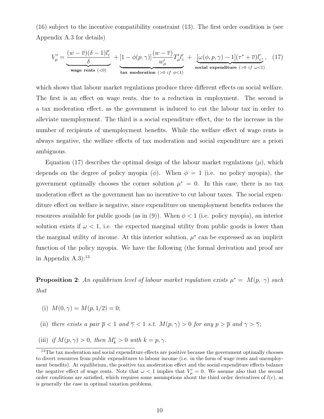(16) subject to the incentive compatibility constraint (13). The first order condition is (see Appendix A.3 for details)

$$
V'_{\mu} = \underbrace{\frac{(w - \overline{v})(\delta - 1)l'_{c}}{\delta}}_{\text{wage rents } (<0)} + \underbrace{[1 - \phi(p, \gamma)] \frac{(w - \overline{v})}{w'_{\mu}} T'_{\mu} l'_{c}}_{\text{tax modernation } (>0 \text{ if } \phi < 1)} + \underbrace{[\omega(\phi, p, \gamma) - 1](\tau^{*} + \overline{v})l'_{c}}_{\text{social expenditure } (>0 \text{ if } \omega < 1)}
$$
 (17)

which shows that labour market regulations produce three different effects on social welfare. The first is an effect on wage rents, due to a reduction in employment. The second is a tax moderation effect, as the government is induced to cut the labour tax in order to alleviate unemployment. The third is a social expenditure effect, due to the increase in the number of recipients of unemployment benefits. While the welfare effect of wage rents is always negative, the welfare effects of tax moderation and social expenditure are a priori ambiguous.

Equation (17) describes the optimal design of the labour market regulations  $(\mu)$ , which depends on the degree of policy myopia ( $\phi$ ). When  $\phi = 1$  (i.e. no policy myopia), the government optimally chooses the corner solution  $\mu^* = 0$ . In this case, there is no tax moderation effect as the government has no incentive to cut labour taxes. The social expenditure effect on welfare is negative, since expenditure on unemployment benefits reduces the resources available for public goods (as in (9)). When  $\phi < 1$  (i.e. policy myopia), an interior solution exists if  $\omega < 1$ , i.e. the expected marginal utility from public goods is lower than the marginal utility of income. At this interior solution,  $\mu^*$  can be expressed as an implicit function of the policy myopia. We have the following (the formal derivation and proof are in Appendix  $A.3$ ):<sup>13</sup>

**Proposition 2**: An equilibrium level of labour market regulation exists  $\mu^* = M(p, \gamma)$  such that

- (i)  $M(0, \gamma) = M(p, 1/2) = 0;$
- (ii) there exists a pair  $\overline{p} < 1$  and  $\overline{\gamma} < 1$  s.t.  $M(p, \gamma) > 0$  for any  $p > \overline{p}$  and  $\gamma > \overline{\gamma}$ ;
- (iii) if  $M(p, \gamma) > 0$ , then  $M'_k > 0$  with  $k = p, \gamma$ .

<sup>&</sup>lt;sup>13</sup>The tax moderation and social expenditure effects are positive because the government optimally chooses to divert resources from public expenditures to labour income (i.e. in the form of wage rents and unemployment benefits). At equilibrium, the positive tax moderation effect and the social expenditure effects balance the negative effect of wage rents. Note that  $\omega < 1$  implies that  $V'_\mu = 0$ . We assume also that the second order conditions are satisfied, which requires some assumptions about the third order derivatives of  $l(c)$ , as is generally the case in optimal taxation problems.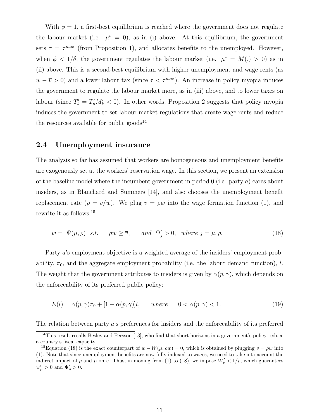With  $\phi = 1$ , a first-best equilibrium is reached where the government does not regulate the labour market (i.e.  $\mu^* = 0$ ), as in (i) above. At this equilibrium, the government sets  $\tau = \tau^{max}$  (from Proposition 1), and allocates benefits to the unemployed. However, when  $\phi < 1/\delta$ , the government regulates the labour market (i.e.  $\mu^* = M(.) > 0$ ) as in (ii) above. This is a second-best equilibrium with higher unemployment and wage rents (as  $w - \overline{v} > 0$ ) and a lower labour tax (since  $\tau < \tau^{max}$ ). An increase in policy myopia induces the government to regulate the labour market more, as in (iii) above, and to lower taxes on labour (since  $T'_k = T'_k M'_k < 0$ ). In other words, Proposition 2 suggests that policy myopia induces the government to set labour market regulations that create wage rents and reduce the resources available for public goods<sup>14</sup>

#### 2.4 Unemployment insurance

The analysis so far has assumed that workers are homogeneous and unemployment benefits are exogenously set at the workers' reservation wage. In this section, we present an extension of the baseline model where the incumbent government in period 0 (i.e. party a) cares about insiders, as in Blanchard and Summers [14], and also chooses the unemployment benefit replacement rate  $(\rho = v/w)$ . We plug  $v = \rho w$  into the wage formation function (1), and rewrite it as follows:<sup>15</sup>

$$
w = \Psi(\mu, \rho) \quad s.t. \qquad \rho w \ge \overline{v}, \qquad and \quad \Psi_j' > 0, \quad where \ j = \mu, \rho. \tag{18}
$$

Party a's employment objective is a weighted average of the insiders' employment probability,  $\pi_0$ , and the aggregate employment probability (i.e. the labour demand function), l. The weight that the government attributes to insiders is given by  $\alpha(p, \gamma)$ , which depends on the enforceability of its preferred public policy:

$$
E(l) = \alpha(p, \gamma)\pi_0 + [1 - \alpha(p, \gamma)]l, \quad where \quad 0 < \alpha(p, \gamma) < 1. \tag{19}
$$

The relation between party a's preferences for insiders and the enforceability of its preferred

 $14$ This result recalls Besley and Persson [13], who find that short horizons in a government's policy reduce a country's fiscal capacity.

<sup>&</sup>lt;sup>15</sup>Equation (18) is the exact counterpart of  $w - W(\mu, \rho w) = 0$ , which is obtained by plugging  $v = \rho w$  into (1). Note that since unemployment benefits are now fully indexed to wages, we need to take into account the indirect impact of  $\rho$  and  $\mu$  on v. Thus, in moving from (1) to (18), we impose  $W'_v < 1/\rho$ , which guarantees  $\Psi_{\mu} > 0$  and  $\Psi_{\rho} > 0$ .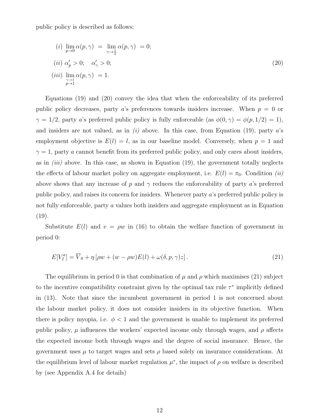public policy is described as follows:

$$
(i) \lim_{p \to 0} \alpha(p, \gamma) = \lim_{\gamma \to \frac{1}{2}} \alpha(p, \gamma) = 0;
$$
  
\n
$$
(ii) \alpha'_p > 0; \quad \alpha'_\gamma > 0;
$$
  
\n
$$
(iii) \lim_{\substack{\gamma \to 1 \\ p \to 1}} \alpha(p, \gamma) = 1.
$$
\n
$$
(20)
$$

Equations (19) and (20) convey the idea that when the enforceability of its preferred public policy decreases, party a's preferences towards insiders increase. When  $p = 0$  or  $\gamma = 1/2$ , party a's preferred public policy is fully enforceable (as  $\phi(0, \gamma) = \phi(p, 1/2) = 1$ ), and insiders are not valued, as in  $(i)$  above. In this case, from Equation (19), party a's employment objective is  $E(l) = l$ , as in our baseline model. Conversely, when  $p = 1$  and  $\gamma = 1$ , party a cannot benefit from its preferred public policy, and only cares about insiders, as in  $(iii)$  above. In this case, as shown in Equation (19), the government totally neglects the effects of labour market policy on aggregate employment, i.e.  $E(l) = \pi_0$ . Condition *(ii)* above shows that any increase of p and  $\gamma$  reduces the enforceability of party a's preferred public policy, and raises its concern for insiders. Whenever party a's preferred public policy is not fully enforceable, party a values both insiders and aggregate employment as in Equation  $(19)$ .

Substitute  $E(l)$  and  $v = \rho w$  in (16) to obtain the welfare function of government in period 0:

$$
E[V_I^a] = \overline{V}_0 + \eta \left[ \rho w + (w - \rho w) E(l) + \omega(\delta, p, \gamma) z \right].
$$
\n(21)

The equilibrium in period 0 is that combination of  $\mu$  and  $\rho$  which maximises (21) subject to the incentive compatibility constraint given by the optimal tax rule  $\tau^*$  implicitly defined in (13). Note that since the incumbent government in period 1 is not concerned about the labour market policy, it does not consider insiders in its objective function. When there is policy myopia, i.e.  $\phi < 1$  and the government is unable to implement its preferred public policy,  $\mu$  influences the workers' expected income only through wages, and  $\rho$  affects the expected income both through wages and the degree of social insurance. Hence, the government uses  $\mu$  to target wages and sets  $\rho$  based solely on insurance considerations. At the equilibrium level of labour market regulation  $\mu^*$ , the impact of  $\rho$  on welfare is described by (see Appendix A.4 for details)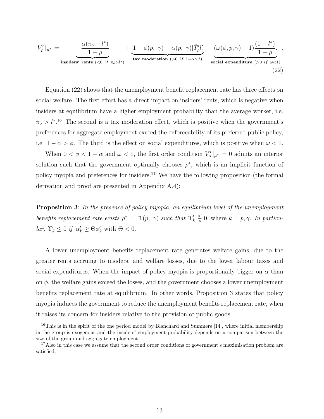$$
V'_{\rho}|_{\mu^*} = \underbrace{-\frac{\alpha(\pi_o - l^*)}{1 - \rho}}_{\text{insiders' rents }(<0 \text{ if } \pi_o > l^*)} + \underbrace{[1 - \phi(p, \gamma) - \alpha(p, \gamma)]\hat{T}'_{\rho}l'_{c}}_{\text{tax modernation } (>0 \text{ if } 1 - \alpha > \phi)} - \underbrace{(\omega(\phi, p, \gamma) - 1)\frac{(1 - l^*)}{1 - \rho}}_{\text{social expenditure } (>0 \text{ if } \omega < 1)}
$$
\n(22)

Equation (22) shows that the unemployment benefit replacement rate has three effects on social welfare. The first effect has a direct impact on insiders' rents, which is negative when insiders at equilibrium have a higher employment probability than the average worker, i.e.  $\pi_o > l^*$ <sup>16</sup>. The second is a tax moderation effect, which is positive when the government's preferences for aggregate employment exceed the enforceability of its preferred public policy, i.e.  $1 - \alpha > \phi$ . The third is the effect on social expenditures, which is positive when  $\omega < 1$ .

When  $0 < \phi < 1 - \alpha$  and  $\omega < 1$ , the first order condition  $V_\rho' |_{\mu^*} = 0$  admits an interior solution such that the government optimally chooses  $\rho^*$ , which is an implicit function of policy myopia and preferences for insiders.<sup>17</sup> We have the following proposition (the formal derivation and proof are presented in Appendix A.4):

**Proposition 3:** In the presence of policy myopia, an equilibrium level of the unemployment benefits replacement rate exists  $\rho^* = \Upsilon(p, \gamma)$  such that  $\Upsilon'_k \leq 0$ , where  $k = p, \gamma$ . In particular,  $\Upsilon'_k \leq 0$  if  $\alpha'_k \geq \Theta \phi'_k$  with  $\Theta < 0$ .

A lower unemployment benefits replacement rate generates welfare gains, due to the greater rents accruing to insiders, and welfare losses, due to the lower labour taxes and social expenditures. When the impact of policy myopia is proportionally bigger on  $\alpha$  than on  $\phi$ , the welfare gains exceed the losses, and the government chooses a lower unemployment benefits replacement rate at equilibrium. In other words, Proposition 3 states that policy myopia induces the government to reduce the unemployment benefits replacement rate, when it raises its concern for insiders relative to the provision of public goods.

<sup>&</sup>lt;sup>16</sup>This is in the spirit of the one period model by Blanchard and Summers [14], where initial membership in the group is exogenous and the insiders' employment probability depends on a comparison between the size of the group and aggregate employment.

<sup>&</sup>lt;sup>17</sup>Also in this case we assume that the second order conditions of government's maximisation problem are satisfied.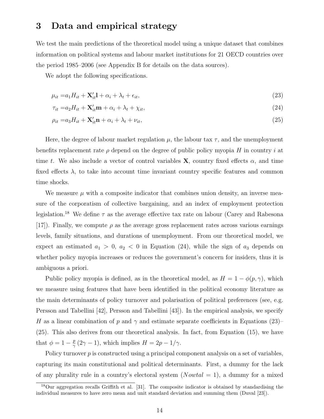### 3 Data and empirical strategy

We test the main predictions of the theoretical model using a unique dataset that combines information on political systems and labour market institutions for 21 OECD countries over the period 1985–2006 (see Appendix B for details on the data sources).

We adopt the following specifications.

$$
\mu_{it} = a_1 H_{it} + \mathbf{X}'_{it} \mathbf{l} + \alpha_i + \lambda_t + \epsilon_{it},\tag{23}
$$

$$
\tau_{it} = a_2 H_{it} + \mathbf{X}'_{it} \mathbf{m} + \alpha_i + \lambda_t + \chi_{it},\tag{24}
$$

$$
\rho_{it} = a_3 H_{it} + \mathbf{X}'_{it} \mathbf{n} + \alpha_i + \lambda_t + \nu_{it},\tag{25}
$$

Here, the degree of labour market regulation  $\mu$ , the labour tax  $\tau$ , and the unemployment benefits replacement rate  $\rho$  depend on the degree of public policy myopia H in country i at time t. We also include a vector of control variables **X**, country fixed effects  $\alpha$ , and time fixed effects  $\lambda$ , to take into account time invariant country specific features and common time shocks.

We measure  $\mu$  with a composite indicator that combines union density, an inverse measure of the corporatism of collective bargaining, and an index of employment protection legislation.<sup>18</sup> We define  $\tau$  as the average effective tax rate on labour (Carey and Rabesona [17]). Finally, we compute  $\rho$  as the average gross replacement rates across various earnings levels, family situations, and durations of unemployment. From our theoretical model, we expect an estimated  $a_1 > 0$ ,  $a_2 < 0$  in Equation (24), while the sign of  $a_3$  depends on whether policy myopia increases or reduces the government's concern for insiders, thus it is ambiguous a priori.

Public policy myopia is defined, as in the theoretical model, as  $H = 1 - \phi(p, \gamma)$ , which we measure using features that have been identified in the political economy literature as the main determinants of policy turnover and polarisation of political preferences (see, e.g. Persson and Tabellini [42], Persson and Tabellini [43]). In the empirical analysis, we specify H as a linear combination of p and  $\gamma$  and estimate separate coefficients in Equations (23)– (25). This also derives from our theoretical analysis. In fact, from Equation (15), we have that  $\phi = 1 - \frac{p}{\gamma}$  $\frac{p}{\gamma}(2\gamma-1)$ , which implies  $H=2p-1/\gamma$ .

Policy turnover  $p$  is constructed using a principal component analysis on a set of variables, capturing its main constitutional and political determinants. First, a dummy for the lack of any plurality rule in a country's electoral system  $(Nowtal = 1)$ , a dummy for a mixed

<sup>18</sup>Our aggregation recalls Griffith et al. [31]. The composite indicator is obtained by standardising the individual measures to have zero mean and unit standard deviation and summing them (Duval [23]).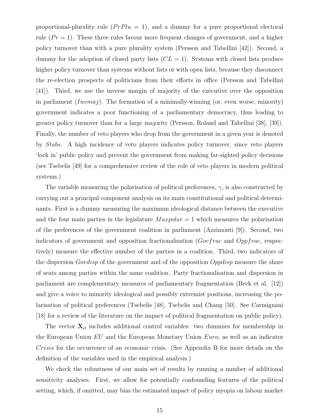proportional-plurality rule  $(PrPlu = 1)$ , and a dummy for a pure proportional electoral rule  $(Pr = 1)$ . These three rules favour more frequent changes of government, and a higher policy turnover than with a pure plurality system (Persson and Tabellini [42]). Second, a dummy for the adoption of closed party lists  $(CL = 1)$ . Systems with closed lists produce higher policy turnover than systems without lists or with open lists, because they disconnect the re-election prospects of politicians from their efforts in office (Persson and Tabellini [41]). Third, we use the inverse margin of majority of the executive over the opposition in parliament  $(Invmaj)$ . The formation of a minimally-winning (or, even worse, minority) government indicates a poor functioning of a parliamentary democracy, thus leading to greater policy turnover than for a large majority (Persson, Roland and Tabellini [38], [39]). Finally, the number of veto players who drop from the government in a given year is denoted by Stabs. A high incidence of veto players indicates policy turnover, since veto players 'lock in' public policy and prevent the government from making far-sighted policy decisions (see Tsebelis [49] for a comprehensive review of the role of veto players in modern political systems.)

The variable measuring the polarisation of political preferences,  $\gamma$ , is also constructed by carrying out a principal component analysis on its main constitutional and political determinants. First is a dummy measuring the maximum ideological distance between the executive and the four main parties in the legislature  $Maxpolar = 1$  which measures the polarisation of the preferences of the government coalition in parliament (Azzimonti [9]). Second, two indicators of government and opposition fractionalisation ( $Govfrac$  and  $Oppfrac$ , respectively) measure the effective number of the parties in a coalition. Third, two indicators of the dispersion *Govdisp* of the government and of the opposition *Oppdisp* measure the share of seats among parties within the same coalition. Party fractionalisation and dispersion in parliament are complementary measures of parliamentary fragmentation (Beck et al. [12]) and give a voice to minority ideological and possibly extremist positions, increasing the polarisation of political preferences (Tsebelis [48], Tsebelis and Chang [50]. See Carmignani [18] for a review of the literature on the impact of political fragmentation on public policy).

The vector  $\mathbf{X}_{it}$  includes additional control variables: two dummies for membership in the European Union  $EU$  and the European Monetary Union  $Euro$ , as well as an indicator Crisis for the occurrence of an economic crisis. (See Appendix B for more details on the definition of the variables used in the empirical analysis.)

We check the robustness of our main set of results by running a number of additional sensitivity analyses. First, we allow for potentially confounding features of the political setting, which, if omitted, may bias the estimated impact of policy myopia on labour market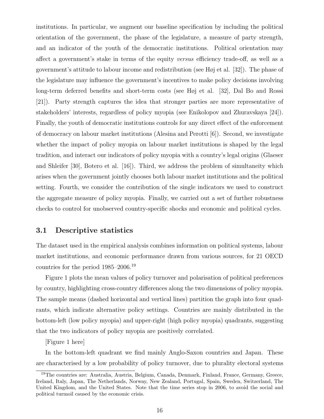institutions. In particular, we augment our baseline specification by including the political orientation of the government, the phase of the legislature, a measure of party strength, and an indicator of the youth of the democratic institutions. Political orientation may affect a government's stake in terms of the equity versus efficiency trade-off, as well as a government's attitude to labour income and redistribution (see Høj et al. [32]). The phase of the legislature may influence the government's incentives to make policy decisions involving long-term deferred benefits and short-term costs (see Høj et al. [32], Dal Bo and Rossi [21]). Party strength captures the idea that stronger parties are more representative of stakeholders' interests, regardless of policy myopia (see Enikolopov and Zhuravskaya [24]). Finally, the youth of democratic institutions controls for any direct effect of the enforcement of democracy on labour market institutions (Alesina and Perotti [6]). Second, we investigate whether the impact of policy myopia on labour market institutions is shaped by the legal tradition, and interact our indicators of policy myopia with a country's legal origins (Glaeser and Shleifer [30], Botero et al. [16]). Third, we address the problem of simultaneity which arises when the government jointly chooses both labour market institutions and the political setting. Fourth, we consider the contribution of the single indicators we used to construct the aggregate measure of policy myopia. Finally, we carried out a set of further robustness checks to control for unobserved country-specific shocks and economic and political cycles.

### 3.1 Descriptive statistics

The dataset used in the empirical analysis combines information on political systems, labour market institutions, and economic performance drawn from various sources, for 21 OECD countries for the period 1985–2006.<sup>19</sup>

Figure 1 plots the mean values of policy turnover and polarisation of political preferences by country, highlighting cross-country differences along the two dimensions of policy myopia. The sample means (dashed horizontal and vertical lines) partition the graph into four quadrants, which indicate alternative policy settings. Countries are mainly distributed in the bottom-left (low policy myopia) and upper-right (high policy myopia) quadrants, suggesting that the two indicators of policy myopia are positively correlated.

[Figure 1 here]

In the bottom-left quadrant we find mainly Anglo-Saxon countries and Japan. These are characterised by a low probability of policy turnover, due to plurality electoral systems

<sup>19</sup>The countries are: Australia, Austria, Belgium, Canada, Denmark, Finland, France, Germany, Greece, Ireland, Italy, Japan, The Netherlands, Norway, New Zealand, Portugal, Spain, Sweden, Switzerland, The United Kingdom, and the United States. Note that the time series stop in 2006, to avoid the social and political turmoil caused by the economic crisis.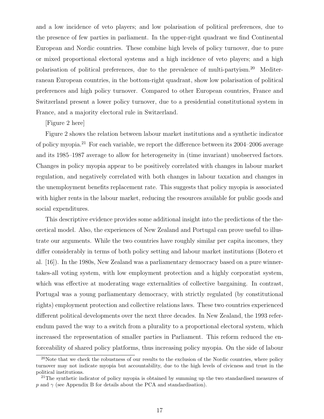and a low incidence of veto players; and low polarisation of political preferences, due to the presence of few parties in parliament. In the upper-right quadrant we find Continental European and Nordic countries. These combine high levels of policy turnover, due to pure or mixed proportional electoral systems and a high incidence of veto players; and a high polarisation of political preferences, due to the prevalence of multi-partyism.<sup>20</sup> Mediterranean European countries, in the bottom-right quadrant, show low polarisation of political preferences and high policy turnover. Compared to other European countries, France and Switzerland present a lower policy turnover, due to a presidential constitutional system in France, and a majority electoral rule in Switzerland.

#### [Figure 2 here]

Figure 2 shows the relation between labour market institutions and a synthetic indicator of policy myopia.<sup>21</sup> For each variable, we report the difference between its 2004–2006 average and its 1985–1987 average to allow for heterogeneity in (time invariant) unobserved factors. Changes in policy myopia appear to be positively correlated with changes in labour market regulation, and negatively correlated with both changes in labour taxation and changes in the unemployment benefits replacement rate. This suggests that policy myopia is associated with higher rents in the labour market, reducing the resources available for public goods and social expenditures.

This descriptive evidence provides some additional insight into the predictions of the theoretical model. Also, the experiences of New Zealand and Portugal can prove useful to illustrate our arguments. While the two countries have roughly similar per capita incomes, they differ considerably in terms of both policy setting and labour market institutions (Botero et al. [16]). In the 1980s, New Zealand was a parliamentary democracy based on a pure winnertakes-all voting system, with low employment protection and a highly corporatist system, which was effective at moderating wage externalities of collective bargaining. In contrast, Portugal was a young parliamentary democracy, with strictly regulated (by constitutional rights) employment protection and collective relations laws. These two countries experienced different political developments over the next three decades. In New Zealand, the 1993 referendum paved the way to a switch from a plurality to a proportional electoral system, which increased the representation of smaller parties in Parliament. This reform reduced the enforceability of shared policy platforms, thus increasing policy myopia. On the side of labour

<sup>&</sup>lt;sup>20</sup>Note that we check the robustness of our results to the exclusion of the Nordic countries, where policy turnover may not indicate myopia but accountability, due to the high levels of civicness and trust in the political institutions.

<sup>&</sup>lt;sup>21</sup>The synthetic indicator of policy myopia is obtained by summing up the two standardised measures of p and  $\gamma$  (see Appendix B for details about the PCA and standardisation).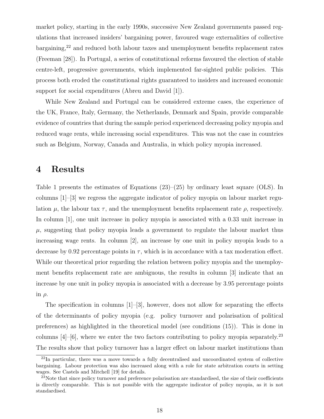market policy, starting in the early 1990s, successive New Zealand governments passed regulations that increased insiders' bargaining power, favoured wage externalities of collective bargaining,<sup>22</sup> and reduced both labour taxes and unemployment benefits replacement rates (Freeman [28]). In Portugal, a series of constitutional reforms favoured the election of stable centre-left, progressive governments, which implemented far-sighted public policies. This process both eroded the constitutional rights guaranteed to insiders and increased economic support for social expenditures (Abreu and David [1]).

While New Zealand and Portugal can be considered extreme cases, the experience of the UK, France, Italy, Germany, the Netherlands, Denmark and Spain, provide comparable evidence of countries that during the sample period experienced decreasing policy myopia and reduced wage rents, while increasing social expenditures. This was not the case in countries such as Belgium, Norway, Canada and Australia, in which policy myopia increased.

### 4 Results

Table 1 presents the estimates of Equations  $(23)$ – $(25)$  by ordinary least square (OLS). In columns  $[1]-[3]$  we regress the aggregate indicator of policy myopia on labour market regulation  $\mu$ , the labour tax  $\tau$ , and the unemployment benefits replacement rate  $\rho$ , respectively. In column [1], one unit increase in policy myopia is associated with a 0.33 unit increase in  $\mu$ , suggesting that policy myopia leads a government to regulate the labour market thus increasing wage rents. In column [2], an increase by one unit in policy myopia leads to a decrease by 0.92 percentage points in  $\tau$ , which is in accordance with a tax moderation effect. While our theoretical prior regarding the relation between policy myopia and the unemployment benefits replacement rate are ambiguous, the results in column [3] indicate that an increase by one unit in policy myopia is associated with a decrease by 3.95 percentage points in  $\rho$ .

The specification in columns  $[1]-[3]$ , however, does not allow for separating the effects of the determinants of policy myopia (e.g. policy turnover and polarisation of political preferences) as highlighted in the theoretical model (see conditions (15)). This is done in columns  $[4]-[6]$ , where we enter the two factors contributing to policy myopia separately.<sup>23</sup> The results show that policy turnover has a larger effect on labour market institutions than

 $^{22}$ In particular, there was a move towards a fully decentralised and uncoordinated system of collective bargaining. Labour protection was also increased along with a role for state arbitration courts in setting wages. See Castels and Mitchell [19] for details.

<sup>&</sup>lt;sup>23</sup>Note that since policy turnover and preference polarisation are standardised, the size of their coefficients is directly comparable. This is not possible with the aggregate indicator of policy myopia, as it is not standardised.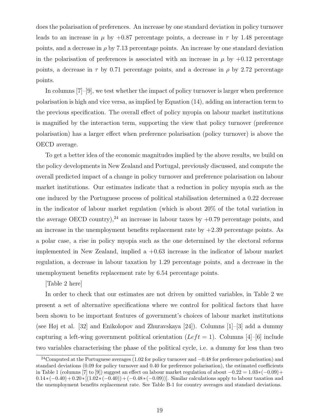does the polarisation of preferences. An increase by one standard deviation in policy turnover leads to an increase in  $\mu$  by +0.87 percentage points, a decrease in  $\tau$  by 1.48 percentage points, and a decrease in  $\rho$  by 7.13 percentage points. An increase by one standard deviation in the polarisation of preferences is associated with an increase in  $\mu$  by  $+0.12$  percentage points, a decrease in  $\tau$  by 0.71 percentage points, and a decrease in  $\rho$  by 2.72 percentage points.

In columns [7]–[9], we test whether the impact of policy turnover is larger when preference polarisation is high and vice versa, as implied by Equation (14), adding an interaction term to the previous specification. The overall effect of policy myopia on labour market institutions is magnified by the interaction term, supporting the view that policy turnover (preference polarisation) has a larger effect when preference polarisation (policy turnover) is above the OECD average.

To get a better idea of the economic magnitudes implied by the above results, we build on the policy developments in New Zealand and Portugal, previously discussed, and compute the overall predicted impact of a change in policy turnover and preference polarisation on labour market institutions. Our estimates indicate that a reduction in policy myopia such as the one induced by the Portuguese process of political stabilisation determined a 0.22 decrease in the indicator of labour market regulation (which is about 20% of the total variation in the average OECD country),<sup>24</sup> an increase in labour taxes by  $+0.79$  percentage points, and an increase in the unemployment benefits replacement rate by  $+2.39$  percentage points. As a polar case, a rise in policy myopia such as the one determined by the electoral reforms implemented in New Zealand, implied a +0.63 increase in the indicator of labour market regulation, a decrease in labour taxation by 1.29 percentage points, and a decrease in the unemployment benefits replacement rate by 6.54 percentage points.

#### [Table 2 here]

In order to check that our estimates are not driven by omitted variables, in Table 2 we present a set of alternative specifications where we control for political factors that have been shown to be important features of government's choices of labour market institutions (see Høj et al. [32] and Enikolopov and Zhuravskaya [24]). Columns [1]–[3] add a dummy capturing a left-wing government political orientation ( $Left = 1$ ). Columns [4]–[6] include two variables characterising the phase of the political cycle, i.e. a dummy for less than two

<sup>&</sup>lt;sup>24</sup>Computed at the Portuguese averages (1.02 for policy turnover and  $-0.48$  for preference polarisation) and standard deviations (0.09 for policy turnover and 0.40 for preference polarisation), the estimated coefficients in Table 1 (columns [7] to [9]) suggest an effect on labour market regulation of about  $-0.22 = 1.03*(-0.09) +$  $0.14*(-0.40)+0.20*(1.02*(-0.40))+(-0.48*(-0.09))$ . Similar calculations apply to labour taxation and the unemployment benefits replacement rate. See Table B-1 for country averages and standard deviations.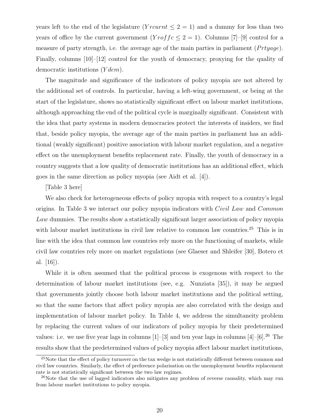years left to the end of the legislature  $(Y^{\text{rcurrent}} \leq 2 = 1)$  and a dummy for less than two years of office by the current government  $(Y\text{ro} f f c \leq 2 = 1)$ . Columns [7]-[9] control for a measure of party strength, i.e. the average age of the main parties in parliament  $(Prtyage)$ . Finally, columns [10]–[12] control for the youth of democracy, proxying for the quality of democratic institutions  $(Y dem)$ .

The magnitude and significance of the indicators of policy myopia are not altered by the additional set of controls. In particular, having a left-wing government, or being at the start of the legislature, shows no statistically significant effect on labour market institutions, although approaching the end of the political cycle is marginally significant. Consistent with the idea that party systems in modern democracies protect the interests of insiders, we find that, beside policy myopia, the average age of the main parties in parliament has an additional (weakly significant) positive association with labour market regulation, and a negative effect on the unemployment benefits replacement rate. Finally, the youth of democracy in a country suggests that a low quality of democratic institutions has an additional effect, which goes in the same direction as policy myopia (see Aidt et al. [4]).

#### [Table 3 here]

We also check for heterogeneous effects of policy myopia with respect to a country's legal origins. In Table 3 we interact our policy myopia indicators with *Civil Law* and *Common* Law dummies. The results show a statistically significant larger association of policy myopia with labour market institutions in civil law relative to common law countries.<sup>25</sup> This is in line with the idea that common law countries rely more on the functioning of markets, while civil law countries rely more on market regulations (see Glaeser and Shleifer [30], Botero et al. [16]).

While it is often assumed that the political process is exogenous with respect to the determination of labour market institutions (see, e.g. Nunziata [35]), it may be argued that governments jointly choose both labour market institutions and the political setting, so that the same factors that affect policy myopia are also correlated with the design and implementation of labour market policy. In Table 4, we address the simultaneity problem by replacing the current values of our indicators of policy myopia by their predetermined values: i.e. we use five year lags in columns  $[1]$ – $[3]$  and ten year lags in columns  $[4]$ – $[6]$ .<sup>26</sup> The results show that the predetermined values of policy myopia affect labour market institutions,

<sup>&</sup>lt;sup>25</sup>Note that the effect of policy turnover on the tax wedge is not statistically different between common and civil law countries. Similarly, the effect of preference polarisation on the unemployment benefits replacement rate is not statistically significant between the two law regimes.

 $^{26}$ Note that the use of lagged indicators also mitigates any problem of reverse causality, which may run from labour market institutions to policy myopia.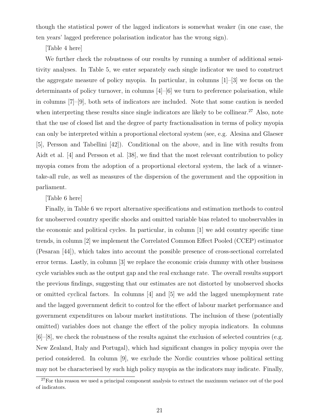though the statistical power of the lagged indicators is somewhat weaker (in one case, the ten years' lagged preference polarisation indicator has the wrong sign).

#### [Table 4 here]

We further check the robustness of our results by running a number of additional sensitivity analyses. In Table 5, we enter separately each single indicator we used to construct the aggregate measure of policy myopia. In particular, in columns [1]–[3] we focus on the determinants of policy turnover, in columns  $[4]$ – $[6]$  we turn to preference polarisation, while in columns [7]–[9], both sets of indicators are included. Note that some caution is needed when interpreting these results since single indicators are likely to be collinear.<sup>27</sup> Also, note that the use of closed list and the degree of party fractionalisation in terms of policy myopia can only be interpreted within a proportional electoral system (see, e.g. Alesina and Glaeser [5], Persson and Tabellini [42]). Conditional on the above, and in line with results from Aidt et al. [4] and Persson et al. [38], we find that the most relevant contribution to policy myopia comes from the adoption of a proportional electoral system, the lack of a winnertake-all rule, as well as measures of the dispersion of the government and the opposition in parliament.

#### [Table 6 here]

Finally, in Table 6 we report alternative specifications and estimation methods to control for unobserved country specific shocks and omitted variable bias related to unobservables in the economic and political cycles. In particular, in column [1] we add country specific time trends, in column [2] we implement the Correlated Common Effect Pooled (CCEP) estimator (Pesaran [44]), which takes into account the possible presence of cross-sectional correlated error terms. Lastly, in column [3] we replace the economic crisis dummy with other business cycle variables such as the output gap and the real exchange rate. The overall results support the previous findings, suggesting that our estimates are not distorted by unobserved shocks or omitted cyclical factors. In columns [4] and [5] we add the lagged unemployment rate and the lagged government deficit to control for the effect of labour market performance and government expenditures on labour market institutions. The inclusion of these (potentially omitted) variables does not change the effect of the policy myopia indicators. In columns [6]–[8], we check the robustness of the results against the exclusion of selected countries (e.g. New Zealand, Italy and Portugal), which had significant changes in policy myopia over the period considered. In column [9], we exclude the Nordic countries whose political setting may not be characterised by such high policy myopia as the indicators may indicate. Finally,

<sup>&</sup>lt;sup>27</sup>For this reason we used a principal component analysis to extract the maximum variance out of the pool of indicators.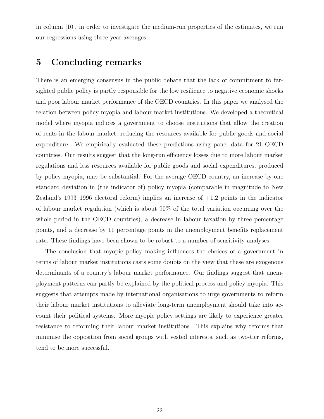in column [10], in order to investigate the medium-run properties of the estimates, we run our regressions using three-year averages.

### 5 Concluding remarks

There is an emerging consensus in the public debate that the lack of commitment to farsighted public policy is partly responsible for the low resilience to negative economic shocks and poor labour market performance of the OECD countries. In this paper we analysed the relation between policy myopia and labour market institutions. We developed a theoretical model where myopia induces a government to choose institutions that allow the creation of rents in the labour market, reducing the resources available for public goods and social expenditure. We empirically evaluated these predictions using panel data for 21 OECD countries. Our results suggest that the long-run efficiency losses due to more labour market regulations and less resources available for public goods and social expenditures, produced by policy myopia, may be substantial. For the average OECD country, an increase by one standard deviation in (the indicator of) policy myopia (comparable in magnitude to New Zealand's 1993–1996 electoral reform) implies an increase of  $+1.2$  points in the indicator of labour market regulation (which is about 90% of the total variation occurring over the whole period in the OECD countries), a decrease in labour taxation by three percentage points, and a decrease by 11 percentage points in the unemployment benefits replacement rate. These findings have been shown to be robust to a number of sensitivity analyses.

The conclusion that myopic policy making influences the choices of a government in terms of labour market institutions casts some doubts on the view that these are exogenous determinants of a country's labour market performance. Our findings suggest that unemployment patterns can partly be explained by the political process and policy myopia. This suggests that attempts made by international organisations to urge governments to reform their labour market institutions to alleviate long-term unemployment should take into account their political systems. More myopic policy settings are likely to experience greater resistance to reforming their labour market institutions. This explains why reforms that minimise the opposition from social groups with vested interests, such as two-tier reforms, tend to be more successful.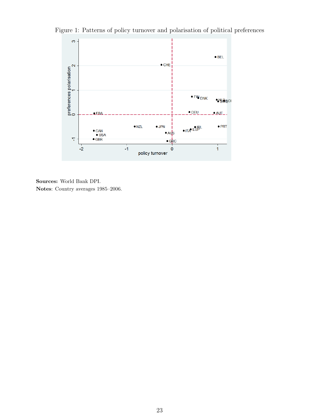Figure 1: Patterns of policy turnover and polarisation of political preferences



Sources: World Bank DPI. Notes: Country averages 1985–2006.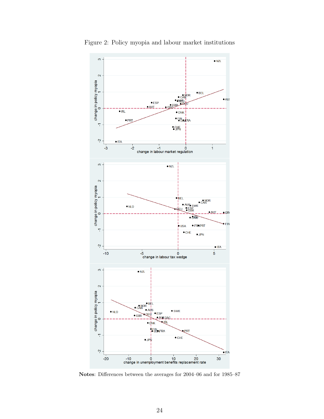

Figure 2: Policy myopia and labour market institutions

Notes: Differences between the averages for 2004–06 and for 1985–87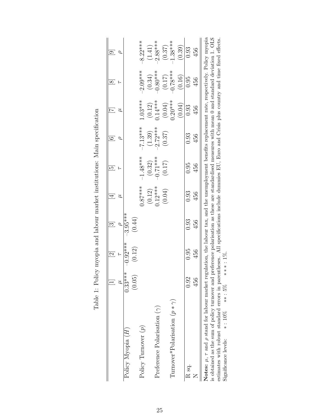|                                                                                                                                                                  |           |            |            |                        | ഥ                    |            |                     | $\infty$            |            |
|------------------------------------------------------------------------------------------------------------------------------------------------------------------|-----------|------------|------------|------------------------|----------------------|------------|---------------------|---------------------|------------|
|                                                                                                                                                                  |           |            |            |                        |                      |            |                     |                     |            |
| Policy Myopia (H)                                                                                                                                                | $0.33***$ | $-0.92***$ | $-3.95***$ |                        |                      |            |                     |                     |            |
|                                                                                                                                                                  | (0.05)    | (0.12)     | (0.44)     |                        |                      |            |                     |                     |            |
| Policy Turnover $(p)$                                                                                                                                            |           |            |            | $0.87***$              | $-1.48***$           | $-7.13***$ | !.03****            | $-2.09***$          | $-8.22***$ |
|                                                                                                                                                                  |           |            |            |                        |                      | (1.39)     |                     | (0.34)              | (1.41)     |
| Preference Polarisation $(\gamma)$                                                                                                                               |           |            |            | $(0.12)$<br>$0.12$ *** | $(0.32)$<br>-0.71*** | $-2.72***$ | $(0.12)$<br>0.14*** | $-0.80***$          | $-2.88***$ |
|                                                                                                                                                                  |           |            |            | (0.04)                 | (0.17)               | (0.37)     | (0.04)              | $(0.17)$<br>0.78*** | (0.37)     |
| Turnover*Polarisation $(p*\gamma)$                                                                                                                               |           |            |            |                        |                      |            | $0.20***$           |                     | $1.38***$  |
|                                                                                                                                                                  |           |            |            |                        |                      |            | (0.04)              | (0.16)              | (0.39)     |
| R sq.                                                                                                                                                            | 0.92      | 0.95       | 0.93       | 0.93                   | 0.95                 | 0.93       | 0.93                | 0.95                | 0.93       |
|                                                                                                                                                                  | 456       | 456        | 456        | 456                    | 456                  | 456        | 456                 | 456                 | 456        |
| Notes: $\mu$ , $\tau$ and $\rho$ stand for labour market regulation, the labour tax, and the unemployment benefits replacement rate, respectively. Policy myopia |           |            |            |                        |                      |            |                     |                     |            |
| is obtained as the sum of policy turnover and preference polarisation as these are standardised measures with mean 0 and standard deviation 1. OLS               |           |            |            |                        |                      |            |                     |                     |            |
| estimates with robust standard errors in parentheses. All specifications include dummies EU, Euro and Crisis plus country and time fixed effects.                |           |            |            |                        |                      |            |                     |                     |            |
| $* : 10\%$<br>Significance levels:                                                                                                                               | $***:5\%$ | $***:1\%$  |            |                        |                      |            |                     |                     |            |

Table 1: Policy myopia and labour market institutions: Main specification Table 1: Policy myopia and labour market institutions: Main specification

Significance levels: \*: 10% ∗\*: 5% ∗\*\*: 1%.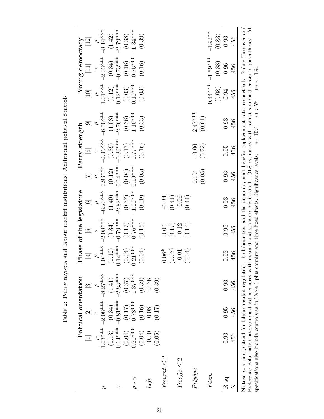| $\frac{1}{2}$<br>I                                                                                                                                                                                                                                       |
|----------------------------------------------------------------------------------------------------------------------------------------------------------------------------------------------------------------------------------------------------------|
| l                                                                                                                                                                                                                                                        |
| こくしゃ くちょう くろう こうしょう こうしょう                                                                                                                                                                                                                                |
| ו<br>ו<br>contratted to the contract of the contract of the contract of the contract of the contract of the contract of the contract of the contract of the contract of the contract of the contract of the contract of the contract of<br>$\frac{1}{2}$ |
|                                                                                                                                                                                                                                                          |
|                                                                                                                                                                                                                                                          |
|                                                                                                                                                                                                                                                          |
|                                                                                                                                                                                                                                                          |
| j<br>I<br>ĺ                                                                                                                                                                                                                                              |
| .<br>1<br>֧֚֞֝<br>$\frac{1}{2}$<br>-<br>-<br>-<br> <br> <br> <br>                                                                                                                                                                                        |

|                                                                                                                                                                                                                                                                                                                                                      |           | Political orientation                         |               | $\mathbf{r}$                                               | hase of the legislature |            |           | Party strength |                                                                                                                       |           | Young democracy                    |                    |
|------------------------------------------------------------------------------------------------------------------------------------------------------------------------------------------------------------------------------------------------------------------------------------------------------------------------------------------------------|-----------|-----------------------------------------------|---------------|------------------------------------------------------------|-------------------------|------------|-----------|----------------|-----------------------------------------------------------------------------------------------------------------------|-----------|------------------------------------|--------------------|
|                                                                                                                                                                                                                                                                                                                                                      | $\equiv$  | $\overline{c}$                                | $\frac{1}{3}$ | $\overline{4}$                                             | $\overline{5}$          | $\odot$    | $\Xi$     | $\infty$       | $\overline{\Theta}$                                                                                                   | $[10]$    | $\begin{bmatrix} 11 \end{bmatrix}$ | $\left[ 12\right]$ |
|                                                                                                                                                                                                                                                                                                                                                      |           |                                               |               | $\tilde{z}$                                                |                         |            | ゴ         |                |                                                                                                                       |           |                                    |                    |
| $\boldsymbol{\beta}$                                                                                                                                                                                                                                                                                                                                 | $1.03***$ | $-2.08***$                                    | $-8.27***$    | $1.04***$                                                  | $-2.08***$              | $8.20***$  | $0.96***$ | $2.05***$      | $-6.50***$                                                                                                            | $1.01***$ | $-2.03***$                         | $8.14***$          |
|                                                                                                                                                                                                                                                                                                                                                      | (0.13)    | (0.34)                                        | (1.41)        |                                                            | (0.34)                  | (1.40)     | (0.12)    | (0.39)         | (1.08)                                                                                                                | (0.12)    | (0.34)                             | (1.42)             |
| $\leftarrow$                                                                                                                                                                                                                                                                                                                                         | $0.14***$ | $0.81***$                                     | $2.83***$     | $4***$                                                     | $-0.79***$              | $-2.82***$ | $0.14***$ | $0.80***$      | $-2.76***$                                                                                                            | $0.12***$ | $0.73***$                          | $2.79***$          |
|                                                                                                                                                                                                                                                                                                                                                      | (0.04)    | (0.17)                                        | (0.37)        | $(0.12)$<br>$0.14***$<br>$(0.04)$<br>$(0.04)$<br>$0.21***$ | (0.17)                  | (0.37)     | (0.04)    | (0.17)         | (0.36)                                                                                                                | (0.03)    | (0.16)                             | (0.38)             |
| $p * \gamma$                                                                                                                                                                                                                                                                                                                                         | $0.20***$ | $-0.78$ ***                                   | $1.37***$     | $****1$                                                    | $0.76***$               | $1.29***$  | $0.19***$ | $0.77***$      | $1.10***$                                                                                                             | $0.19***$ | $0.75***$                          | $1.34***$          |
|                                                                                                                                                                                                                                                                                                                                                      | (0.04)    | $\begin{array}{c} (0.16) \\ 0.08 \end{array}$ | (0.39)        | (4)<br>$\cup$                                              | (0.16)                  | (0.39)     | (0.03)    | (0.16)         | (0.33)                                                                                                                | (0.03)    | (0.16)                             | (0.39)             |
| Left                                                                                                                                                                                                                                                                                                                                                 | $-0.00$   |                                               | $-0.36$       |                                                            |                         |            |           |                |                                                                                                                       |           |                                    |                    |
|                                                                                                                                                                                                                                                                                                                                                      | (0.05)    | (0.17)                                        | (0.39)        |                                                            |                         |            |           |                |                                                                                                                       |           |                                    |                    |
| Yrcurnt $\leq 2$                                                                                                                                                                                                                                                                                                                                     |           |                                               |               | $06*$<br>$\dot{\circ}$                                     | 0.00                    | $-0.34$    |           |                |                                                                                                                       |           |                                    |                    |
|                                                                                                                                                                                                                                                                                                                                                      |           |                                               |               | (03)<br>$\circ$                                            | $(0.17)$<br>-0.12       | (0.41)     |           |                |                                                                                                                       |           |                                    |                    |
| $Yrsoftc \leq 2$                                                                                                                                                                                                                                                                                                                                     |           |                                               |               |                                                            |                         | $-0.66$    |           |                |                                                                                                                       |           |                                    |                    |
|                                                                                                                                                                                                                                                                                                                                                      |           |                                               |               | (4)<br>$-0.01$<br>(0.04)                                   | (0.16)                  | (0.44)     |           |                |                                                                                                                       |           |                                    |                    |
| Prtyage                                                                                                                                                                                                                                                                                                                                              |           |                                               |               |                                                            |                         |            | $0.10*$   | $-0.06$        | $-2.47***$                                                                                                            |           |                                    |                    |
|                                                                                                                                                                                                                                                                                                                                                      |           |                                               |               |                                                            |                         |            | (0.05)    | (0.23)         | (0.61)                                                                                                                |           |                                    |                    |
| Ydem                                                                                                                                                                                                                                                                                                                                                 |           |                                               |               |                                                            |                         |            |           |                |                                                                                                                       | $0.44***$ | $-1.59***$                         | $-1.92**$          |
|                                                                                                                                                                                                                                                                                                                                                      |           |                                               |               |                                                            |                         |            |           |                |                                                                                                                       | (0.08)    | (0.33)                             | (0.83)             |
| R <sub>sq</sub> .                                                                                                                                                                                                                                                                                                                                    | 0.93      | 0.95                                          | 0.93          | 0.93                                                       | 0.95                    | 0.93       | 0.93      | 0.95           | 0.93                                                                                                                  | 0.94      | 0.96                               | 0.93               |
| Z                                                                                                                                                                                                                                                                                                                                                    | 456       | 456                                           | 456           | 56                                                         | 456                     | 456        | 456       | 456            | 456                                                                                                                   | 456       | 456                                | 456                |
| Notes: $\mu$ , $\tau$ and $\rho$ stand for labour market regulation, the labour tax, and the unemployment benefits replacement rate, respectively. Policy Turnover and<br>specifications also include controls as in Table 1 plus country and time fixed effects. Significance levels:<br>Preference Polarisation are standardised measures with $r$ |           |                                               |               |                                                            |                         |            |           |                | mean 0 and standard deviation 1. OLS estimates with robust standard errors in parentheses.<br>$***:5\%$<br>$* : 10\%$ |           | $***:1\%$ .                        | $\overline{AB}$    |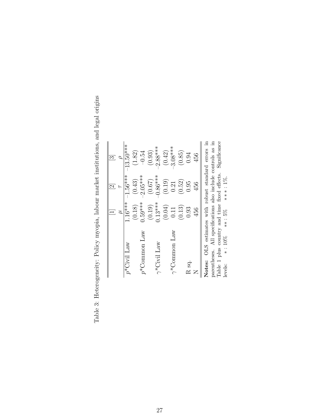|                                                                                                                                                                                              |           | $\overline{2}$ | $\approx$    |
|----------------------------------------------------------------------------------------------------------------------------------------------------------------------------------------------|-----------|----------------|--------------|
|                                                                                                                                                                                              | ュ         |                |              |
| $p^*$ Civil Law                                                                                                                                                                              | $1.16***$ | $1.56***$      | $13.50***$   |
|                                                                                                                                                                                              | (0.18)    | (0.43)         | (1.82)       |
| $p^*$ Common Law                                                                                                                                                                             | $0.59***$ | $-2.05***$     | $-0.54$      |
|                                                                                                                                                                                              | (0.19)    | (0.67)         | (0.93)       |
| $\gamma^*$ Civil Law                                                                                                                                                                         | $0.13***$ | $0.86***$      | $2.88***$    |
|                                                                                                                                                                                              | (0.04)    | (0.19)         | (0.42)       |
| $\gamma^*$ Common Law                                                                                                                                                                        | 0.11      | 0.21           | $3.08***$    |
|                                                                                                                                                                                              | (0.13)    | (0.52)         | (0.85)       |
| R sq.                                                                                                                                                                                        | 0.93      | 0.95           | 0.94         |
|                                                                                                                                                                                              | 456       | 456            | 456          |
| OLS estimates with robust standard errors in<br>parentheses. All specifications also include controls as in<br>Table 1 plus country and time fixed effects.<br>$*:10\%$<br>Notes:<br>levels: | $***:5\%$ | ***: 1%.       | Significance |

Table 3: Heterogeneity: Policy myopia, labour market institutions, and legal origins Table 3: Heterogeneity: Policy myopia, labour market institutions, and legal origins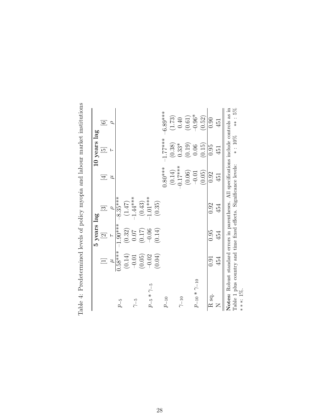|                                                                                                                                                                          |                   | 5 years lag                |                |                | 10 years lag   |            |
|--------------------------------------------------------------------------------------------------------------------------------------------------------------------------|-------------------|----------------------------|----------------|----------------|----------------|------------|
|                                                                                                                                                                          | $\equiv$          | $\boxed{2}$                | [3]            | $\overline{4}$ | $\overline{5}$ | $\odot$    |
|                                                                                                                                                                          | Ε                 |                            | $\overline{Q}$ | ユ              | ⊢              | ∘          |
| $p_{-5}$                                                                                                                                                                 | $3.58$ ***        | $1.90***$                  | $8.35***$      |                |                |            |
|                                                                                                                                                                          |                   | $\left(0.32\right)$ $0.07$ | (1.47)         |                |                |            |
| $\gamma - 5$                                                                                                                                                             | $(0.14)$<br>-0.01 |                            | $-1.44***$     |                |                |            |
|                                                                                                                                                                          | (0.05)            | (0.17)                     | (0.43)         |                |                |            |
| $p_{-5} * \gamma_{-5}$                                                                                                                                                   | $-0.02$           | $-0.06$                    | $-1.01***$     |                |                |            |
|                                                                                                                                                                          | (0.04)            | (0.14)                     | (0.35)         |                |                |            |
| $p_{-10}$                                                                                                                                                                |                   |                            |                | $0.80***$      | $1.77***$      | $-6.89***$ |
|                                                                                                                                                                          |                   |                            |                | (0.14)         | (0.38)         | (1.73)     |
| $\gamma_{-10}$                                                                                                                                                           |                   |                            |                | $-0.17***$     | $0.33*$        | 0.40       |
|                                                                                                                                                                          |                   |                            |                | (0.06)         | (0.19)         | (0.61)     |
| $p_{-10}*\gamma_{-10}$                                                                                                                                                   |                   |                            |                | $-0.01$        | 0.06           | $-0.96*$   |
|                                                                                                                                                                          |                   |                            |                | (0.05)         | (0.15)         | (0.52)     |
| $\mathbf R$ sq.                                                                                                                                                          | 0.91              | 0.95                       | 0.92           | 0.92           | 0.95           | 0.90       |
| $\overline{Z}$                                                                                                                                                           | 454               | 454                        | 454            | 451            | 451            | 451        |
| Notes: Robust standard errors in parentheses. All specifications include controls as in<br>Table 1 plus country and time fixed effects. Significance levels:<br>***: 1%. |                   |                            |                |                | $* : 10\%$     | $** : 5\%$ |

Table 4: Predetermined levels of policy myopia and labour market institutions Table 4: Predetermined levels of policy myopia and labour market institutions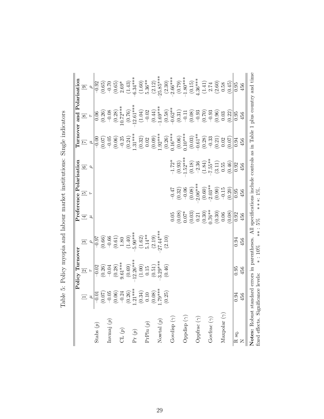|                                     |                                                                                                                                                                                                                                                                                                                                           | Policy Turnover                                                                      |                                                                                                                                                                  |                                                                                                                                      | Preference Polarisation                                                                                                                                                                                                                                                                                                                                   |                                                                                                            |                                                                                                                                                                                                                                                                                                      | <b>Lurnover and Polarisation</b>                                                                                                                                                                                                                                                                                                                |                                                                                                                                                                                                                                                                                                                                              |
|-------------------------------------|-------------------------------------------------------------------------------------------------------------------------------------------------------------------------------------------------------------------------------------------------------------------------------------------------------------------------------------------|--------------------------------------------------------------------------------------|------------------------------------------------------------------------------------------------------------------------------------------------------------------|--------------------------------------------------------------------------------------------------------------------------------------|-----------------------------------------------------------------------------------------------------------------------------------------------------------------------------------------------------------------------------------------------------------------------------------------------------------------------------------------------------------|------------------------------------------------------------------------------------------------------------|------------------------------------------------------------------------------------------------------------------------------------------------------------------------------------------------------------------------------------------------------------------------------------------------------|-------------------------------------------------------------------------------------------------------------------------------------------------------------------------------------------------------------------------------------------------------------------------------------------------------------------------------------------------|----------------------------------------------------------------------------------------------------------------------------------------------------------------------------------------------------------------------------------------------------------------------------------------------------------------------------------------------|
|                                     | $\equiv$                                                                                                                                                                                                                                                                                                                                  | $\overline{\mathfrak{D}}$                                                            | $\boxed{3}$                                                                                                                                                      | $\Xi$                                                                                                                                | $\overline{5}$                                                                                                                                                                                                                                                                                                                                            | $\Xi$                                                                                                      | $\Xi$                                                                                                                                                                                                                                                                                                | $\boxed{8}$                                                                                                                                                                                                                                                                                                                                     | $\Xi$                                                                                                                                                                                                                                                                                                                                        |
|                                     |                                                                                                                                                                                                                                                                                                                                           | $\overline{r}$                                                                       | $\overline{\mathcal{L}}$                                                                                                                                         | ゴ                                                                                                                                    |                                                                                                                                                                                                                                                                                                                                                           | $\overline{a}$                                                                                             | $\mu$                                                                                                                                                                                                                                                                                                | $\overline{r}$                                                                                                                                                                                                                                                                                                                                  |                                                                                                                                                                                                                                                                                                                                              |
| Stabs $(p)$                         |                                                                                                                                                                                                                                                                                                                                           |                                                                                      |                                                                                                                                                                  |                                                                                                                                      |                                                                                                                                                                                                                                                                                                                                                           |                                                                                                            | $-0.00$                                                                                                                                                                                                                                                                                              |                                                                                                                                                                                                                                                                                                                                                 |                                                                                                                                                                                                                                                                                                                                              |
|                                     |                                                                                                                                                                                                                                                                                                                                           |                                                                                      |                                                                                                                                                                  |                                                                                                                                      |                                                                                                                                                                                                                                                                                                                                                           |                                                                                                            |                                                                                                                                                                                                                                                                                                      | $\frac{0.06}{(0.26)}$                                                                                                                                                                                                                                                                                                                           |                                                                                                                                                                                                                                                                                                                                              |
| Inv<br>maj $\left( p\right)$        |                                                                                                                                                                                                                                                                                                                                           | $\begin{array}{r} -0.02 \\ \hline 0.26) \\ -0.04 \\ 0.28) \\ 9.61^{***} \end{array}$ |                                                                                                                                                                  |                                                                                                                                      |                                                                                                                                                                                                                                                                                                                                                           |                                                                                                            |                                                                                                                                                                                                                                                                                                      |                                                                                                                                                                                                                                                                                                                                                 |                                                                                                                                                                                                                                                                                                                                              |
|                                     |                                                                                                                                                                                                                                                                                                                                           |                                                                                      |                                                                                                                                                                  |                                                                                                                                      |                                                                                                                                                                                                                                                                                                                                                           |                                                                                                            |                                                                                                                                                                                                                                                                                                      |                                                                                                                                                                                                                                                                                                                                                 |                                                                                                                                                                                                                                                                                                                                              |
| CL $(p)$                            |                                                                                                                                                                                                                                                                                                                                           |                                                                                      |                                                                                                                                                                  |                                                                                                                                      |                                                                                                                                                                                                                                                                                                                                                           |                                                                                                            |                                                                                                                                                                                                                                                                                                      |                                                                                                                                                                                                                                                                                                                                                 |                                                                                                                                                                                                                                                                                                                                              |
|                                     | $\begin{array}{c} \mu\\ \mid\!\! 0.01\\ \mid\!\! 0.07)\\ \mid\!\! 0.05\\ \mid\!\! 0.00\\ \mid\!\! 0.00\\ \mid\!\! 0.00\\ \mid\!\! 0.00\\ \mid\!\! 0.00\\ \mid\!\! 0.00\\ \mid\!\! 0.00\\ \mid\!\! 0.00\\ \mid\!\! 0.00\\ \mid\!\! 0.00\\ \mid\!\! 0.00\\ \mid\!\! 0.00\\ \mid\!\! 0.00\\ \mid\!\! 0.00\\ \mid\!\! 0.00\\ \mid\!\! 0.00\\$ | $(0.69)$<br>12.26***                                                                 | $\begin{array}{c l} -0.97 \\ \hline 0.66 \\ 0.66 \\ 0.61 \\ 0.80 \\ 1.80 \\ 1.40 \\ 1.40 \\ 1.62 \\ 1.43 \\ 0.14** \\ 5.14** \\ 5.14*** \\ 27.44*** \end{array}$ |                                                                                                                                      |                                                                                                                                                                                                                                                                                                                                                           |                                                                                                            | $\begin{array}{l} (0.07)\\ (0.06)\\ (0.07)\\ (0.08)\\ (0.09)\\ (0.01)\\ (0.01)\\ (0.01)\\ (0.00)\\ (0.00)\\ (0.00)\\ (0.00)\\ (0.01)\\ (0.00)\\ (0.01)\\ (0.01)\\ (0.01)\\ (0.01)\\ (0.01)\\ (0.01)\\ (0.01)\\ (0.01)\\ (0.01)\\ (0.01)\\ (0.01)\\ (0.01)\\ (0.01)\\ (0.01)\\ (0.01)\\ (0.01)\\ (0.$ | $-0.08$<br>$(0.28)$<br>$(0.72****)$<br>$(0.76)$<br>$(0.76)$                                                                                                                                                                                                                                                                                     | $\begin{array}{c} 0.92 \\ -0.65) \\ -0.70 \\ 0.65) \\ 2.63^* \\ -1.43) \\ 6.34^{***} \\ -1.60) \\ -1.60 \\ -1.60 \\ -1.60 \\ -1.60 \\ -1.60 \\ -1.60 \\ -1.60 \\ -1.60 \\ -1.60 \\ -1.60 \\ -1.60 \\ -1.60 \\ -1.60 \\ -1.60 \\ -1.60 \\ -1.60 \\ -1.60 \\ -1.60 \\ -1.60 \\ -1.60 \\ -1.60 \\ -1.60 \\ -1.60 \\ -1.60 \\ -1.60 \\ -1.60 \\$ |
| $\Pr\left(p\right)$                 |                                                                                                                                                                                                                                                                                                                                           |                                                                                      |                                                                                                                                                                  |                                                                                                                                      |                                                                                                                                                                                                                                                                                                                                                           |                                                                                                            |                                                                                                                                                                                                                                                                                                      |                                                                                                                                                                                                                                                                                                                                                 |                                                                                                                                                                                                                                                                                                                                              |
|                                     |                                                                                                                                                                                                                                                                                                                                           | $(1.00)$<br>0.15<br>0.51)<br>3.29***                                                 |                                                                                                                                                                  |                                                                                                                                      |                                                                                                                                                                                                                                                                                                                                                           |                                                                                                            |                                                                                                                                                                                                                                                                                                      |                                                                                                                                                                                                                                                                                                                                                 |                                                                                                                                                                                                                                                                                                                                              |
| Pr<br>Plu $\left( p\right)$         |                                                                                                                                                                                                                                                                                                                                           |                                                                                      |                                                                                                                                                                  |                                                                                                                                      |                                                                                                                                                                                                                                                                                                                                                           |                                                                                                            |                                                                                                                                                                                                                                                                                                      |                                                                                                                                                                                                                                                                                                                                                 |                                                                                                                                                                                                                                                                                                                                              |
|                                     |                                                                                                                                                                                                                                                                                                                                           |                                                                                      |                                                                                                                                                                  |                                                                                                                                      |                                                                                                                                                                                                                                                                                                                                                           |                                                                                                            |                                                                                                                                                                                                                                                                                                      |                                                                                                                                                                                                                                                                                                                                                 |                                                                                                                                                                                                                                                                                                                                              |
| Nowtal $\left( p\right)$            |                                                                                                                                                                                                                                                                                                                                           |                                                                                      |                                                                                                                                                                  |                                                                                                                                      |                                                                                                                                                                                                                                                                                                                                                           |                                                                                                            |                                                                                                                                                                                                                                                                                                      |                                                                                                                                                                                                                                                                                                                                                 | $(2.12)$<br>25.85***                                                                                                                                                                                                                                                                                                                         |
|                                     | (0.25)                                                                                                                                                                                                                                                                                                                                    | (0.46)                                                                               | (2.10)                                                                                                                                                           |                                                                                                                                      |                                                                                                                                                                                                                                                                                                                                                           |                                                                                                            |                                                                                                                                                                                                                                                                                                      |                                                                                                                                                                                                                                                                                                                                                 | $(2.30)$<br>$2.66***$                                                                                                                                                                                                                                                                                                                        |
| Govdisp $(\gamma)$                  |                                                                                                                                                                                                                                                                                                                                           |                                                                                      |                                                                                                                                                                  |                                                                                                                                      |                                                                                                                                                                                                                                                                                                                                                           |                                                                                                            |                                                                                                                                                                                                                                                                                                      |                                                                                                                                                                                                                                                                                                                                                 |                                                                                                                                                                                                                                                                                                                                              |
|                                     |                                                                                                                                                                                                                                                                                                                                           |                                                                                      |                                                                                                                                                                  |                                                                                                                                      |                                                                                                                                                                                                                                                                                                                                                           |                                                                                                            |                                                                                                                                                                                                                                                                                                      |                                                                                                                                                                                                                                                                                                                                                 |                                                                                                                                                                                                                                                                                                                                              |
| Oppdisp $(\gamma)$                  |                                                                                                                                                                                                                                                                                                                                           |                                                                                      |                                                                                                                                                                  |                                                                                                                                      |                                                                                                                                                                                                                                                                                                                                                           |                                                                                                            |                                                                                                                                                                                                                                                                                                      |                                                                                                                                                                                                                                                                                                                                                 |                                                                                                                                                                                                                                                                                                                                              |
|                                     |                                                                                                                                                                                                                                                                                                                                           |                                                                                      |                                                                                                                                                                  |                                                                                                                                      |                                                                                                                                                                                                                                                                                                                                                           |                                                                                                            |                                                                                                                                                                                                                                                                                                      |                                                                                                                                                                                                                                                                                                                                                 |                                                                                                                                                                                                                                                                                                                                              |
| Oppfrac $(\gamma)$                  |                                                                                                                                                                                                                                                                                                                                           |                                                                                      |                                                                                                                                                                  |                                                                                                                                      |                                                                                                                                                                                                                                                                                                                                                           |                                                                                                            |                                                                                                                                                                                                                                                                                                      |                                                                                                                                                                                                                                                                                                                                                 |                                                                                                                                                                                                                                                                                                                                              |
|                                     |                                                                                                                                                                                                                                                                                                                                           |                                                                                      |                                                                                                                                                                  | $\begin{array}{l} 0.05 \\ 0.08) \\ 0.07^* \\ 0.03) \\ 0.21 \\ 0.30) \\ 0.63 \\ 0.03 \\ 0.03 \\ 0.06 \\ 0.08) \\ 0.08 \\ \end{array}$ | $\begin{array}{l} -0.47 \\ (0.32) \\ (0.06) \\ (0.08) \\ (0.08) \\ (0.60) \\ (0.60) \\ (0.60) \\ (-0.15) \\ (-0.15) \\ (-0.15) \\ (-0.15) \\ (-0.15) \\ (-0.15) \\ (-0.15) \\ (-0.15) \\ (-0.15) \\ (-0.15) \\ (-0.15) \\ (-0.15) \\ (-0.15) \\ (-0.15) \\ (-0.15) \\ (-0.15) \\ (-0.15) \\ (-0.15) \\ (-0.15) \\ (-0.15) \\ (-0.15) \\ (-0.15) \\ (-0.1$ | $-1.72$ *<br>$(0.93)$<br>$1.52$ ***<br>$-2.36$<br>$(1.84)$<br>$(1.84)$<br>$(1.84)$<br>$(1.94)$<br>$(1.95)$ |                                                                                                                                                                                                                                                                                                      | $\begin{array}{l} (1.04)\\ (-0.02)\\ (-0.03)\\ (-0.5)\\ (-0.5)\\ (-0.5)\\ (-0.5)\\ (-0.5)\\ (-0.5)\\ (-0.5)\\ (-0.5)\\ (-0.5)\\ (-0.5)\\ (-0.5)\\ (-0.5)\\ (-0.5)\\ (-0.5)\\ (-0.5)\\ (-0.5)\\ (-0.5)\\ (-0.5)\\ (-0.5)\\ (-0.5)\\ (-0.5)\\ (-0.5)\\ (-0.5)\\ (-0.5)\\ (-0.5)\\ (-0.5)\\ (-0.5)\\ (-0.5)\\ (-0.5)\\ (-0.5)\\ (-0.5)\\ (-0.5)\\$ | $\begin{array}{l} (0.79)\\[-4pt] 1.80^{***}\\[-4pt] (0.15)\\[-4pt] 1.36^{***}\\[-4pt] (1.41)\\[-4pt] 2.74\\[-4pt] (2.60)\\[-4pt] (0.58\\[-4pt] (0.45)\\[-4pt] \end{array}$                                                                                                                                                                   |
| Govfrac $(\gamma)$                  |                                                                                                                                                                                                                                                                                                                                           |                                                                                      |                                                                                                                                                                  |                                                                                                                                      |                                                                                                                                                                                                                                                                                                                                                           |                                                                                                            |                                                                                                                                                                                                                                                                                                      |                                                                                                                                                                                                                                                                                                                                                 |                                                                                                                                                                                                                                                                                                                                              |
|                                     |                                                                                                                                                                                                                                                                                                                                           |                                                                                      |                                                                                                                                                                  |                                                                                                                                      |                                                                                                                                                                                                                                                                                                                                                           |                                                                                                            |                                                                                                                                                                                                                                                                                                      |                                                                                                                                                                                                                                                                                                                                                 |                                                                                                                                                                                                                                                                                                                                              |
| Maxpolar $(\gamma)$                 |                                                                                                                                                                                                                                                                                                                                           |                                                                                      |                                                                                                                                                                  |                                                                                                                                      |                                                                                                                                                                                                                                                                                                                                                           |                                                                                                            |                                                                                                                                                                                                                                                                                                      |                                                                                                                                                                                                                                                                                                                                                 |                                                                                                                                                                                                                                                                                                                                              |
|                                     |                                                                                                                                                                                                                                                                                                                                           |                                                                                      |                                                                                                                                                                  |                                                                                                                                      | (0.20)                                                                                                                                                                                                                                                                                                                                                    | (0.46)                                                                                                     | (0.07)                                                                                                                                                                                                                                                                                               |                                                                                                                                                                                                                                                                                                                                                 |                                                                                                                                                                                                                                                                                                                                              |
| R <sub>sq</sub> .                   | 0.94                                                                                                                                                                                                                                                                                                                                      | 0.95                                                                                 | 0.94                                                                                                                                                             | 0.92                                                                                                                                 | $\begin{array}{c} 0.95 \\ 456 \end{array}$                                                                                                                                                                                                                                                                                                                | 0.92                                                                                                       | 0.94                                                                                                                                                                                                                                                                                                 | 0.95                                                                                                                                                                                                                                                                                                                                            | 0.95                                                                                                                                                                                                                                                                                                                                         |
|                                     | 456                                                                                                                                                                                                                                                                                                                                       | 456                                                                                  | 456                                                                                                                                                              | 456                                                                                                                                  |                                                                                                                                                                                                                                                                                                                                                           | 456                                                                                                        | 456                                                                                                                                                                                                                                                                                                  | 456                                                                                                                                                                                                                                                                                                                                             | 456                                                                                                                                                                                                                                                                                                                                          |
| Notes: Robust                       |                                                                                                                                                                                                                                                                                                                                           | standard errors in parentheses.                                                      |                                                                                                                                                                  |                                                                                                                                      |                                                                                                                                                                                                                                                                                                                                                           |                                                                                                            |                                                                                                                                                                                                                                                                                                      |                                                                                                                                                                                                                                                                                                                                                 | All specifications include controls as in Table 1 plus country and time                                                                                                                                                                                                                                                                      |
| fixed effects. Significance levels: |                                                                                                                                                                                                                                                                                                                                           |                                                                                      | $***:5%$<br>$* : 10\%$                                                                                                                                           |                                                                                                                                      | ***: 1%.                                                                                                                                                                                                                                                                                                                                                  |                                                                                                            |                                                                                                                                                                                                                                                                                                      |                                                                                                                                                                                                                                                                                                                                                 |                                                                                                                                                                                                                                                                                                                                              |

fixed effects. Significance levels:  $* : 10\%$  \*\*: 5% \*\*\*: 1%.

Table 5: Policy myopia and labour market institutions: Single indicators Table 5: Policy myopia and labour market institutions: Single indicators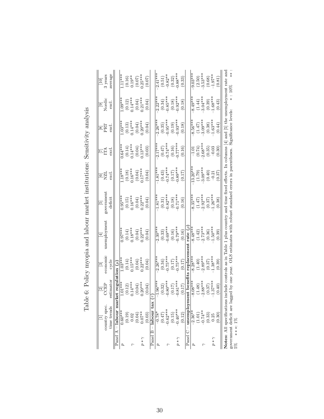| l'able 6: Policy myonia and laborr market indititione. Senority analysis<br>$rac{3}{2}$<br>3<br>2<br>2<br>2<br>2                                                                                                               |
|--------------------------------------------------------------------------------------------------------------------------------------------------------------------------------------------------------------------------------|
| into the control of the computer and control work of the computer of the control of the control of the control of the control of the control of the control of the control of the control of the control of the control of the |
|                                                                                                                                                                                                                                |
|                                                                                                                                                                                                                                |
|                                                                                                                                                                                                                                |
|                                                                                                                                                                                                                                |
| :<br> <br> <br>- 0.424                                                                                                                                                                                                         |

|              |                       |                                                  | $\frac{1}{2}$                               | $\Xi$                                                                                                                                                                                             | $\overline{5}$                                   |                                                            |                                                            |                                                         |                                                  |                                                                                     |
|--------------|-----------------------|--------------------------------------------------|---------------------------------------------|---------------------------------------------------------------------------------------------------------------------------------------------------------------------------------------------------|--------------------------------------------------|------------------------------------------------------------|------------------------------------------------------------|---------------------------------------------------------|--------------------------------------------------|-------------------------------------------------------------------------------------|
|              | country spec          | $\overline{\text{P}}$<br>CCEP                    | conomic                                     | unemployment                                                                                                                                                                                      | governmen                                        | $\frac{\text{[6]}}{\text{N}}$                              | EÃ                                                         | $\frac{\infty}{\infty}$                                 | $\frac{\boxed{9}}{\text{Noted}}$                 | $\frac{\boxed{10}}{3 \text{ years}}$                                                |
|              | time trends           | estimato                                         | cycle                                       |                                                                                                                                                                                                   | deficit                                          | excl                                                       | $_{\rm excl}$                                              | excl                                                    | excl                                             | average                                                                             |
|              | Panel A - labour      | market regulation $(\mu$                         |                                             |                                                                                                                                                                                                   |                                                  |                                                            |                                                            |                                                         |                                                  |                                                                                     |
|              | $0.60***$             | $1.01***$                                        | $1.03***$                                   | $0.97***$                                                                                                                                                                                         | $0.95***$                                        | $1.18***$                                                  | $\frac{1}{0.64}$                                           | $1.03***$                                               | $1.09***$                                        | $-11***$                                                                            |
|              | (0.19)                |                                                  | $(0.14)$<br>0.15***<br>$(0.04)$<br>(0.22*** | $\begin{array}{c} (0.14) \\ 0.18^{***} \\ (0.04) \\ (0.22^{***} \\ \end{array}$                                                                                                                   |                                                  | $(0.18)$<br>$(0.16***$<br>$(0.04)$<br>$(0.04)$             | $(0.14)$<br>$0.14***$<br>$(0.04)$<br>$(0.04)$<br>$0.13***$ | $(0.13)$<br>$0.14***$<br>$(0.04)$<br>$0.20***$          |                                                  | $\begin{array}{c} (0.16) \\ 0.19^{**} \\ (0.07) \\ (0.07) \\ 0.25^{**} \end{array}$ |
|              | 0.02                  | $\begin{array}{c} (0.12) \\ 0.14*** \end{array}$ |                                             |                                                                                                                                                                                                   | $(0.15)$<br>0.16***                              |                                                            |                                                            |                                                         |                                                  |                                                                                     |
|              | (0.04)                | $(0.04)$<br>$0.20***$                            |                                             |                                                                                                                                                                                                   | $\begin{array}{c} (0.04) \\ 0.22*** \end{array}$ |                                                            |                                                            |                                                         | $(0.12)$<br>0.14***<br>$(0.04)$<br>0.21***       |                                                                                     |
| $p*\gamma$   | $0.07***$             |                                                  |                                             |                                                                                                                                                                                                   |                                                  |                                                            |                                                            |                                                         |                                                  |                                                                                     |
|              | (0.03)                | (0.04)                                           | (0.04)                                      | (0.04)                                                                                                                                                                                            | (0.04)                                           | (0.04)                                                     | (0.03)                                                     | (0.04)                                                  | (0.04)                                           | (0.07)                                                                              |
|              | ă<br>Panel B - labour |                                                  |                                             |                                                                                                                                                                                                   |                                                  |                                                            |                                                            |                                                         |                                                  |                                                                                     |
| 2            | $-0.78*$              | $-1.96***$                                       | $-2.26***$                                  | $-2.30***$                                                                                                                                                                                        | $-1.81***$                                       | $-1.81***$                                                 | $-2.17***$                                                 | $-2.26***$                                              | $-2.22$ **                                       | $-2.41***$                                                                          |
|              | (0.47)                |                                                  | $(0.34)$<br>-0.75***                        |                                                                                                                                                                                                   |                                                  |                                                            |                                                            |                                                         |                                                  |                                                                                     |
| ₹            | $0.62***$             | $(0.32)$<br>-0.80***                             |                                             | $(0.33)$<br>-0.69***                                                                                                                                                                              |                                                  |                                                            |                                                            |                                                         |                                                  |                                                                                     |
|              | (0.15)                | $(0.17)$<br>-0.81***                             | $(0.17)$<br>-0.75***                        | $(0.16)$<br>-0.79***                                                                                                                                                                              | $(0.31)$<br>$-0.82***$<br>$(0.18)$<br>$-0.71***$ | $(0.43)$<br>$0.74***$<br>$(0.17)$<br>$(0.17)$<br>$0.89***$ | $(0.47)$<br>$(0.16)$<br>$(0.16)$<br>$(0.16)$               | $(0.35)$<br>$0.95***$<br>$(0.19)$<br>$0.93***$          | $(0.34)$<br>$-0.85***$<br>$(0.18)$<br>$-0.92***$ | $\begin{array}{c} (0.51) \\ \bf{-0.82}^{**} \\ (0.32) \\ 0.88^{***} \end{array}$    |
| $p * \gamma$ | $-0.40***$            |                                                  |                                             |                                                                                                                                                                                                   |                                                  |                                                            |                                                            |                                                         |                                                  |                                                                                     |
|              | (0.12)                | (0.17)                                           | (0.17)                                      | (0.16)                                                                                                                                                                                            | (0.16)                                           | (0.17)                                                     | (0.16)                                                     | (0.18)                                                  | (0.18)                                           | (0.33)                                                                              |
|              | Panel $C$ – unempl    | oyment ben                                       | replacem                                    | rate $(\rho$                                                                                                                                                                                      |                                                  |                                                            |                                                            |                                                         |                                                  |                                                                                     |
|              | $-2.36**$             | $-8.08$ **                                       | $8.28**$                                    | $-8.48**$                                                                                                                                                                                         | $8.35***$                                        | $13.20***$                                                 |                                                            | $-8.56***$                                              | $-8.49***$                                       | $-9.03***$                                                                          |
|              | (1.01)                | $(1.48)$<br>$-2.88***$                           |                                             |                                                                                                                                                                                                   | $(1.47)$<br>-2.92***                             | $(1.79)$<br>$-3.09***$                                     | $\frac{-1.01}{(0.74)}$<br>2.68***                          | $(1.47)$<br>-3.09***                                    |                                                  | $(2.50)$<br>3.53***                                                                 |
| ₹            | $0.74***$             |                                                  | $(1.40)$<br>$-2.89***$                      | $(1.42)$<br>$-2.73***$                                                                                                                                                                            |                                                  |                                                            |                                                            |                                                         |                                                  |                                                                                     |
|              | (0.33)                | (0.37)                                           | (0.37)                                      | (0.36)                                                                                                                                                                                            | $(0.37)$<br>-1.26***                             | $(0.40)$<br>$-0.21$                                        | $(0.35)$<br>$-0.03$                                        | $(0.38)$<br>-1.63***                                    | $(1.44)$<br>-3.04***<br>$(0.39)$<br>-1.68***     | $(0.68)$<br>-1.97**                                                                 |
| $p * \gamma$ | 0.25                  | $1.37***$                                        | $1.38***$                                   | $-1.50**$                                                                                                                                                                                         |                                                  |                                                            |                                                            |                                                         |                                                  |                                                                                     |
|              | (0.30)                | (0.40)                                           | (0.39)                                      | (0.39)                                                                                                                                                                                            | (0.38)                                           | (0.37)                                                     | (0.30)                                                     | (0.44)                                                  | (0.43)                                           | (0.81)                                                                              |
|              | covernment deficit or |                                                  |                                             | Notes: All specifications include controls as in Table 1 plus country and time fixed effects. In columns $ 4 $<br>a lagged hy one year. Of S ectimates with robust standard errors in parentheses |                                                  |                                                            |                                                            | and [5] the unemployment rate and<br>Simificance levels | $+ 10\%$                                         | ⇒                                                                                   |

 $* : 10\%$  \*\*: government deficit are lagged by one year. OLS estimates with robust standard errors in parentheses. Significance levels: ∗ : 10% ∗∗ : government deficit are lagged by one year. OLS estimates with robust standard errors in parentheses. Significance levels:<br>5% ∗ ∗ ∗: 1%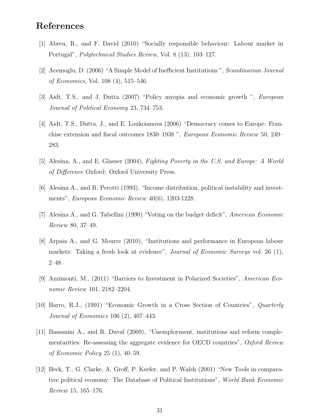### References

- [1] Abreu, R., and F. David (2010) "Socially responsible behaviour: Labour market in Portugal", Polytechnical Studies Review, Vol. 8 (13), 103–127.
- [2] Acemoglu, D. (2006) "A Simple Model of Inefficient Institutions ", Scandinavian Journal of Economics, Vol. 108 (4), 515–546.
- [3] Aidt, T.S., and J. Dutta (2007) "Policy myopia and economic growth ", European Journal of Political Economy 23, 734–753.
- [4] Aidt, T.S., Dutta, J., and E. Loukoianova (2006) "Democracy comes to Europe: Franchise extension and fiscal outcomes 1830–1938 ", European Economic Review 50, 249– 283.
- [5] Alesina, A., and E. Glaeser (2004), Fighting Poverty in the U.S. and Europe: A World of Difference Oxford: Oxford University Press.
- [6] Alesina A., and R. Perotti (1993), "Income distribution, political instability and investments", European Economic Review 40(6), 1203-1228.
- [7] Alesina A., and G. Tabellini (1990) "Voting on the budget deficit", American Economic Review 80, 37–49.
- [8] Arpaia A., and G. Mourre (2010), "Institutions and performance in European labour markets: Taking a fresh look at evidence", *Journal of Economic Surveys* vol. 26 (1), 2–48.
- [9] Azzimonti, M., (2011) "Barriers to Investment in Polarized Societies", American Economic Review 101, 2182–2204.
- [10] Barro, R.J., (1991) "Economic Growth in a Cross Section of Countries", Quarterly Journal of Economics 106 (2), 407–443.
- [11] Bassanini A., and R. Duval (2009), "Unemployment, institutions and reform complementarities: Re-assessing the aggregate evidence for OECD countries", Oxford Review of Economic Policy 25 (1), 40–59.
- [12] Beck, T., G. Clarke, A. Groff, P. Keefer, and P. Walsh (2001) "New Tools in comparative political economy: The Database of Political Institutions", World Bank Economic Review 15, 165–176.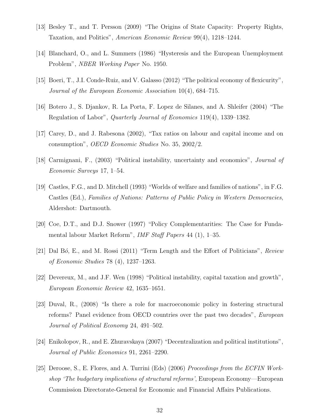- [13] Besley T., and T. Persson (2009) "The Origins of State Capacity: Property Rights, Taxation, and Politics", American Economic Review 99(4), 1218–1244.
- [14] Blanchard, O., and L. Summers (1986) "Hysteresis and the European Unemployment Problem", NBER Working Paper No. 1950.
- [15] Boeri, T., J.I. Conde-Ruiz, and V. Galasso (2012) "The political economy of flexicurity", Journal of the European Economic Association 10(4), 684–715.
- [16] Botero J., S. Djankov, R. La Porta, F. Lopez de Silanes, and A. Shleifer (2004) "The Regulation of Labor", Quarterly Journal of Economics 119(4), 1339–1382.
- [17] Carey, D., and J. Rabesona (2002), "Tax ratios on labour and capital income and on consumption", OECD Economic Studies No. 35, 2002/2.
- [18] Carmignani, F., (2003) "Political instability, uncertainty and economics", Journal of Economic Surveys 17, 1–54.
- [19] Castles, F.G., and D. Mitchell (1993) "Worlds of welfare and families of nations", in F.G. Castles (Ed.), Families of Nations: Patterns of Public Policy in Western Democracies, Aldershot: Dartmouth.
- [20] Coe, D.T., and D.J. Snower (1997) "Policy Complementarities: The Case for Fundamental labour Market Reform", IMF Staff Papers 44 (1), 1–35.
- [21] Dal Bó, E., and M. Rossi (2011) "Term Length and the Effort of Politicians", Review of Economic Studies 78 (4), 1237–1263.
- [22] Devereux, M., and J.F. Wen (1998) "Political instability, capital taxation and growth", European Economic Review 42, 1635–1651.
- [23] Duval, R., (2008) "Is there a role for macroeconomic policy in fostering structural reforms? Panel evidence from OECD countries over the past two decades", European Journal of Political Economy 24, 491–502.
- [24] Enikolopov, R., and E. Zhuravskaya (2007) "Decentralization and political institutions", Journal of Public Economics 91, 2261–2290.
- [25] Deroose, S., E. Flores, and A. Turrini (Eds) (2006) Proceedings from the ECFIN Workshop 'The budgetary implications of structural reforms', European Economy—European Commission Directorate-General for Economic and Financial Affairs Publications.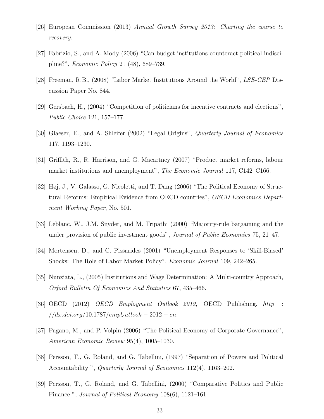- [26] European Commission (2013) Annual Growth Survey 2013: Charting the course to recovery.
- [27] Fabrizio, S., and A. Mody (2006) "Can budget institutions counteract political indiscipline?", Economic Policy 21 (48), 689–739.
- [28] Freeman, R.B., (2008) "Labor Market Institutions Around the World", LSE-CEP Discussion Paper No. 844.
- [29] Gersbach, H., (2004) "Competition of politicians for incentive contracts and elections", Public Choice 121, 157–177.
- [30] Glaeser, E., and A. Shleifer (2002) "Legal Origins", Quarterly Journal of Economics 117, 1193–1230.
- [31] Griffith, R., R. Harrison, and G. Macartney (2007) "Product market reforms, labour market institutions and unemployment", *The Economic Journal* 117, C142–C166.
- [32] Høj, J., V. Galasso, G. Nicoletti, and T. Dang (2006) "The Political Economy of Structural Reforms: Empirical Evidence from OECD countries", OECD Economics Department Working Paper, No. 501.
- [33] Leblanc, W., J.M. Snyder, and M. Tripathi (2000) "Majority-rule bargaining and the under provision of public investment goods", Journal of Public Economics 75, 21–47.
- [34] Mortensen, D., and C. Pissarides (2001) "Unemployment Responses to 'Skill-Biased' Shocks: The Role of Labor Market Policy". Economic Journal 109, 242–265.
- [35] Nunziata, L., (2005) Institutions and Wage Determination: A Multi-country Approach, Oxford Bulletin Of Economics And Statistics 67, 435–466.
- [36] OECD (2012) OECD Employment Outlook 2012, OECD Publishing. http :  $//dx.doi.org/10.1787/empl_outlook-2012-en.$
- [37] Pagano, M., and P. Volpin (2006) "The Political Economy of Corporate Governance", American Economic Review 95(4), 1005–1030.
- [38] Persson, T., G. Roland, and G. Tabellini, (1997) "Separation of Powers and Political Accountability ", *Quarterly Journal of Economics* 112(4), 1163–202.
- [39] Persson, T., G. Roland, and G. Tabellini, (2000) "Comparative Politics and Public Finance ", Journal of Political Economy 108(6), 1121–161.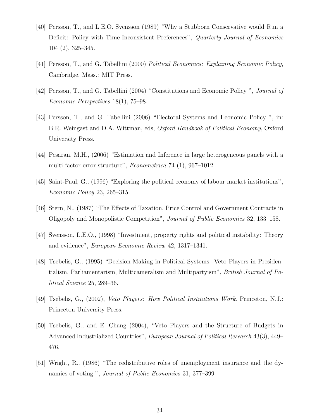- [40] Persson, T., and L.E.O. Svensson (1989) "Why a Stubborn Conservative would Run a Deficit: Policy with Time-Inconsistent Preferences", Quarterly Journal of Economics 104 (2), 325–345.
- [41] Persson, T., and G. Tabellini (2000) Political Economics: Explaining Economic Policy, Cambridge, Mass.: MIT Press.
- [42] Persson, T., and G. Tabellini (2004) "Constitutions and Economic Policy ", Journal of Economic Perspectives 18(1), 75–98.
- [43] Persson, T., and G. Tabellini (2006) "Electoral Systems and Economic Policy ", in: B.R. Weingast and D.A. Wittman, eds, Oxford Handbook of Political Economy, Oxford University Press.
- [44] Pesaran, M.H., (2006) "Estimation and Inference in large heterogeneous panels with a multi-factor error structure", Econometrica 74 (1), 967–1012.
- [45] Saint-Paul, G., (1996) "Exploring the political economy of labour market institutions", Economic Policy 23, 265–315.
- [46] Stern, N., (1987) "The Effects of Taxation, Price Control and Government Contracts in Oligopoly and Monopolistic Competition", Journal of Public Economics 32, 133–158.
- [47] Svensson, L.E.O., (1998) "Investment, property rights and political instability: Theory and evidence", European Economic Review 42, 1317–1341.
- [48] Tsebelis, G., (1995) "Decision-Making in Political Systems: Veto Players in Presidentialism, Parliamentarism, Multicameralism and Multipartyism", British Journal of Political Science 25, 289–36.
- [49] Tsebelis, G., (2002), Veto Players: How Political Institutions Work. Princeton, N.J.: Princeton University Press.
- [50] Tsebelis, G., and E. Chang (2004), "Veto Players and the Structure of Budgets in Advanced Industrialized Countries", European Journal of Political Research 43(3), 449– 476.
- [51] Wright, R., (1986) "The redistributive roles of unemployment insurance and the dynamics of voting ", *Journal of Public Economics* 31, 377–399.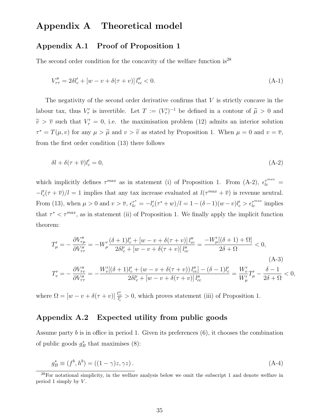### Appendix A Theoretical model

#### Appendix A.1 Proof of Proposition 1

The second order condition for the concavity of the welfare function is<sup>28</sup>

$$
V''_{\tau\tau} = 2\delta l_c' + [w - v + \delta(\tau + v)] l''_{cc} < 0.
$$
\n(A-1)

The negativity of the second order derivative confirms that  $V$  is strictly concave in the labour tax, thus  $V'_{\tau}$  is invertible. Let  $T := (V'_{\tau})^{-1}$  be defined in a contour of  $\tilde{\mu} > 0$  and  $\tilde{v} > \overline{v}$  such that  $V'_{\tau} = 0$ , i.e. the maximisation problem (12) admits an interior solution  $\tau^* = T(\mu, v)$  for any  $\mu > \tilde{\mu}$  and  $v > \tilde{v}$  as stated by Proposition 1. When  $\mu = 0$  and  $v = \overline{v}$ , from the first order condition (13) there follows

$$
\delta l + \delta(\tau + \overline{v})l_c' = 0,\tag{A-2}
$$

which implicitly defines  $\tau^{max}$  as in statement (i) of Proposition 1. From (A-2),  $\epsilon_{lc}^{\tau^{max}}$  =  $-l'_{c}(\tau + \overline{v})/l = 1$  implies that any tax increase evaluated at  $l(\tau^{max} + \overline{v})$  is revenue neutral. From (13), when  $\mu > 0$  and  $v > \overline{v}$ ,  $\epsilon_{lc}^{\tau^*} = -l'_c(\tau^* + w)/l = 1 - (\delta - 1)(w - v)l'_c > \epsilon_{lc}^{\tau^{max}}$  implies that  $\tau^* < \tau^{max}$ , as in statement (ii) of Proposition 1. We finally apply the implicit function theorem:

$$
T'_{\mu} = -\frac{\partial V''_{\tau\mu}}{\partial V''_{\tau\tau}} = -W'_{\mu}\frac{(\delta+1)l'_{c} + [w-v+\delta(\tau+v)]l''_{cc}}{2\delta l'_{c} + [w-v+\delta(\tau+v)]l''_{cc}} = \frac{-W'_{\mu}[(\delta+1)+\Omega]}{2\delta+\Omega} < 0,
$$
\n(A-3)\n
$$
T'_{v} = -\frac{\partial V''_{\tau v}}{\partial V''_{\tau\tau}} = -\frac{W'_{v}[(\delta+1)l'_{c} + (w-v+\delta(\tau+v))l''_{cc}] - (\delta-1)l'_{c}}{2\delta l'_{c} + [w-v+\delta(\tau+v)]l''_{cc}} = \frac{W'_{v}}{W'_{\mu}}T'_{\mu} - \frac{\delta-1}{2\delta+\Omega} < 0,
$$
\n(A-3)

where  $\Omega = [w - v + \delta(\tau + v)] \frac{l_{cc}^{\prime\prime}}{l_c} > 0$ , which proves statement (iii) of Proposition 1.

### Appendix A.2 Expected utility from public goods

Assume party  $b$  is in office in period 1. Given its preferences  $(6)$ , it chooses the combination of public goods  $g_B^*$  that maximises (8):

$$
g_B^* \equiv (f^b, h^b) = ((1 - \gamma)z, \gamma z). \tag{A-4}
$$

<sup>28</sup>For notational simplicity, in the welfare analysis below we omit the subscript 1 and denote welfare in period 1 simply by  $V$ .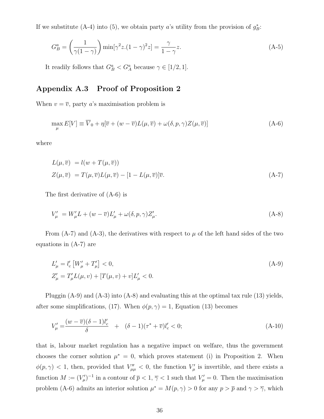If we substitute (A-4) into (5), we obtain party a's utility from the provision of  $g_{\tilde{B}}^*$ :

$$
G_B^a = \left(\frac{1}{\gamma(1-\gamma)}\right) \min[\gamma^2 z (1-\gamma)^2 z] = \frac{\gamma}{1-\gamma} z.
$$
\n(A-5)

It readily follows that  $G_B^a < G_A^a$  because  $\gamma \in [1/2, 1]$ .

### Appendix A.3 Proof of Proposition 2

When  $v = \overline{v}$ , party a's maximisation problem is

$$
\max_{\mu} E[V] \equiv \overline{V}_0 + \eta[\overline{v} + (w - \overline{v})L(\mu, \overline{v}) + \omega(\delta, p, \gamma)Z(\mu, \overline{v})]
$$
(A-6)

where

$$
L(\mu, \overline{v}) = l(w + T(\mu, \overline{v}))
$$
  
\n
$$
Z(\mu, \overline{v}) = T(\mu, \overline{v})L(\mu, \overline{v}) - [1 - L(\mu, \overline{v})]\overline{v}.
$$
\n(A-7)

The first derivative of (A-6) is

$$
V'_{\mu} = W'_{\mu}L + (w - \overline{v})L'_{\mu} + \omega(\delta, p, \gamma)Z'_{\mu}.
$$
\n(A-8)

From  $(A-7)$  and  $(A-3)$ , the derivatives with respect to  $\mu$  of the left hand sides of the two equations in (A-7) are

$$
L'_{\mu} = l'_{c} \left[ W'_{\mu} + T'_{\mu} \right] < 0,
$$
\n
$$
Z'_{\mu} = T'_{\mu} L(\mu, v) + [T(\mu, v) + v] L'_{\mu} < 0.
$$
\n(A-9)

Pluggin (A-9) and (A-3) into (A-8) and evaluating this at the optimal tax rule (13) yields, after some simplifications, (17). When  $\phi(p, \gamma) = 1$ , Equation (13) becomes

$$
V'_{\mu} = \frac{(w - \overline{v})(\delta - 1)l'_{c}}{\delta} + (\delta - 1)(\tau^* + \overline{v})l'_{c} < 0; \tag{A-10}
$$

that is, labour market regulation has a negative impact on welfare, thus the government chooses the corner solution  $\mu^* = 0$ , which proves statement (i) in Proposition 2. When  $\phi(p,\gamma)$  < 1, then, provided that  $V_{\mu\mu}''$  < 0, the function  $V_{\mu}'$  is invertible, and there exists a function  $M := (V_{\mu}')^{-1}$  in a contour of  $\overline{p} < 1$ ,  $\overline{\gamma} < 1$  such that  $V_{\mu}' = 0$ . Then the maximisation problem (A-6) admits an interior solution  $\mu^* = M(p, \gamma) > 0$  for any  $p > \overline{p}$  and  $\gamma > \overline{\gamma}$ , which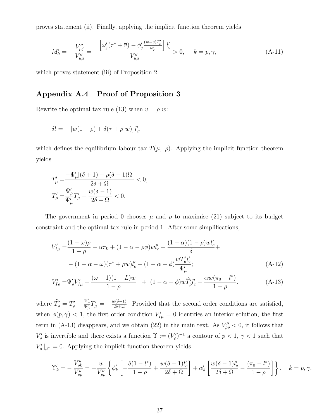proves statement (ii). Finally, applying the implicit function theorem yields

$$
M'_{k} = -\frac{V''_{\mu j}}{V''_{\mu \mu}} = -\frac{\left[\omega'_{j}(\tau^* + \overline{v}) - \phi'_{j}\frac{(w - \overline{v})T'_{\mu}}{w'_{\mu}}\right]l'_{c}}{V''_{\mu \mu}} > 0, \quad k = p, \gamma,
$$
\n(A-11)

which proves statement (iii) of Proposition 2.

### Appendix A.4 Proof of Proposition 3

Rewrite the optimal tax rule (13) when  $v = \rho w$ :

$$
\delta l = -\left[w(1-\rho) + \delta(\tau + \rho w)\right]l_c',
$$

which defines the equilibrium labour tax  $T(\mu, \rho)$ . Applying the implicit function theorem yields

$$
\begin{aligned} T'_\mu=&\frac{-\Psi'_\mu[(\delta+1)+\rho(\delta-1)\Omega]}{2\delta+\Omega}<0,\\ T'_\rho=&\frac{\Psi'_\rho}{\Psi'_\mu}T'_\mu-\frac{w(\delta-1)}{2\delta+\Omega}<0. \end{aligned}
$$

The government in period 0 chooses  $\mu$  and  $\rho$  to maximise (21) subject to its budget constraint and the optimal tax rule in period 1. After some simplifications,

$$
V'_{I\mu} = \frac{(1-\omega)\rho}{1-\rho} + \alpha \pi_0 + (1-\alpha-\rho\phi)wl'_c - \frac{(1-\alpha)(1-\rho)wl'_c}{\delta} +
$$
  
 
$$
- (1-\alpha-\omega)(\tau^*+\rho w)l'_c + (1-\alpha-\phi)\frac{wT'_\mu l'_c}{\Psi'_\mu};
$$
 (A-12)

$$
V'_{I\rho} = \Psi'_{\rho} V'_{I\mu} - \frac{(\omega - 1)(1 - L)w}{1 - \rho} + (1 - \alpha - \phi)w \hat{T}'_{\rho} l'_{c} - \frac{\alpha w(\pi_0 - l^{*})}{1 - \rho}.
$$
 (A-13)

where  $\hat{T}'_{\rho} = T'_{\rho} - \frac{\Psi'_{\rho}}{\Psi'_{\mu}} T'_{\mu} = -\frac{w(\delta-1)}{2\delta+\Omega}$ . Provided that the second order conditions are satisfied, when  $\phi(p,\gamma)$  < 1, the first order condition  $V_{I\mu}'=0$  identifies an interior solution, the first term in (A-13) disappears, and we obtain (22) in the main text. As  $V''_{\rho\rho} < 0$ , it follows that  $V'_\rho$  is invertible and there exists a function  $\Upsilon := (V'_\rho)^{-1}$  a contour of  $\overline{p} < 1, \overline{\gamma} < 1$  such that  $V'_{\rho}|_{\mu^*} = 0$ . Applying the implicit function theorem yields

$$
\Upsilon'_{k} = -\frac{V''_{\rho k}}{V''_{\rho \rho}} = -\frac{w}{V''_{\rho \rho}} \left\{ \phi'_{k} \left[ -\frac{\delta(1 - l^{*})}{1 - \rho} + \frac{w(\delta - 1)l'_{c}}{2\delta + \Omega} \right] + \alpha'_{k} \left[ \frac{w(\delta - 1)l'_{c}}{2\delta + \Omega} - \frac{(\pi_{0} - l^{*})}{1 - \rho} \right] \right\}, \quad k = p, \gamma.
$$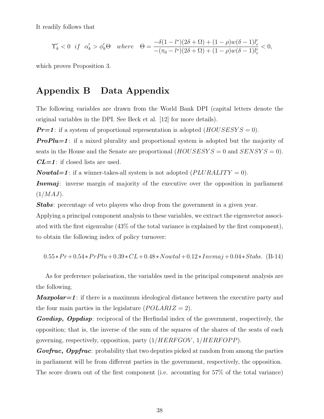It readily follows that

$$
\Upsilon_k'<0 \ \ if \ \ \alpha_k'>\phi_k'\Theta \quad where \quad \Theta=\frac{-\delta(1-l^*)(2\delta+\Omega)+(1-\rho)w(\delta-1)l_c'}{-(\pi_0-l^*)(2\delta+\Omega)+(1-\rho)w(\delta-1)l_c'}<0,
$$

which proves Proposition 3.

### Appendix B Data Appendix

The following variables are drawn from the World Bank DPI (capital letters denote the original variables in the DPI. See Beck et al. [12] for more details).

 $Pr=1$ : if a system of proportional representation is adopted  $(HOUSESYS = 0)$ .

**ProPlu=1**: if a mixed plurality and proportional system is adopted but the majority of seats in the House and the Senate are proportional  $(HOUSESYS = 0$  and  $SENSYS = 0)$ .  $CL=1$ : if closed lists are used.

**Nowtal=1**: if a winner-takes-all system is not adopted  $(PLURALITY = 0)$ .

Invmaj: inverse margin of majority of the executive over the opposition in parliament  $(1/MAJ)$ .

Stabs: percentage of veto players who drop from the government in a given year.

Applying a principal component analysis to these variables, we extract the eigenvector associated with the first eigenvalue (43% of the total variance is explained by the first component), to obtain the following index of policy turnover:

$$
0.55*Pr+0.54*PrPlu+0.39*CL+0.48*Nowtal+0.12*Invmaj+0.04*Stabs. (B-14)
$$

As for preference polarisation, the variables used in the principal component analysis are the following.

**Maxpolar=1**: if there is a maximum ideological distance between the executive party and the four main parties in the legislature  $(POLARIZ = 2)$ .

Govdisp, Oppdisp: reciprocal of the Herfindal index of the government, respectively, the opposition; that is, the inverse of the sum of the squares of the shares of the seats of each governing, respectively, opposition, party  $(1/HERFGOV, 1/HERFOPP)$ .

**Govfrac, Oppfrac**: probability that two deputies picked at random from among the parties in parliament will be from different parties in the government, respectively, the opposition. The score drawn out of the first component (i.e. accounting for 57% of the total variance)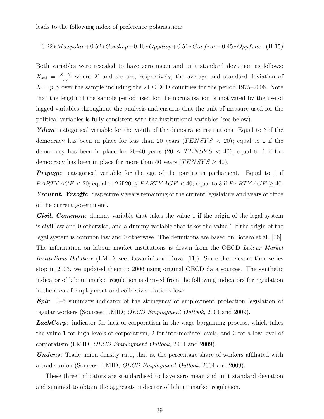leads to the following index of preference polarisation:

$$
0.22 * Max polar + 0.52 * Govdisp + 0.46 * Oppdisp + 0.51 * Govfrac + 0.45 * Oppfrac. (B-15)
$$

Both variables were rescaled to have zero mean and unit standard deviation as follows:  $X_{std} = \frac{X-\overline{X}}{\sigma_X}$  $\frac{X-X}{\sigma_X}$  where X and  $\sigma_X$  are, respectively, the average and standard deviation of  $X = p, \gamma$  over the sample including the 21 OECD countries for the period 1975–2006. Note that the length of the sample period used for the normalisation is motivated by the use of lagged variables throughout the analysis and ensures that the unit of measure used for the political variables is fully consistent with the institutional variables (see below).

Ydem: categorical variable for the youth of the democratic institutions. Equal to 3 if the democracy has been in place for less than 20 years  $(TENSYS < 20)$ ; equal to 2 if the democracy has been in place for 20–40 years (20  $\leq$  TENSYS  $\lt$  40); equal to 1 if the democracy has been in place for more than 40 years  $(TENSYS \geq 40)$ .

**Prtyage**: categorical variable for the age of the parties in parliament. Equal to 1 if  $PARTYAGE < 20$ ; equal to 2 if  $20 \leq PARTYAGE < 40$ ; equal to 3 if  $PARTYAGE \geq 40$ . Yrcurnt, Yrsoffic: respectively years remaining of the current legislature and years of office of the current government.

**Civil, Common**: dummy variable that takes the value 1 if the origin of the legal system is civil law and 0 otherwise, and a dummy variable that takes the value 1 if the origin of the legal system is common law and 0 otherwise. The definitions are based on Botero et al. [16]. The information on labour market institutions is drawn from the OECD Labour Market Institutions Database (LMID, see Bassanini and Duval [11]). Since the relevant time series stop in 2003, we updated them to 2006 using original OECD data sources. The synthetic indicator of labour market regulation is derived from the following indicators for regulation in the area of employment and collective relations law:

**Eplr**: 1–5 summary indicator of the stringency of employment protection legislation of regular workers (Sources: LMID; OECD Employment Outlook, 2004 and 2009).

**LackCorp**: indicator for lack of corporatism in the wage bargaining process, which takes the value 1 for high levels of corporatism, 2 for intermediate levels, and 3 for a low level of corporatism (LMID, OECD Employment Outlook, 2004 and 2009).

Undens: Trade union density rate, that is, the percentage share of workers affiliated with a trade union (Sources: LMID; OECD Employment Outlook, 2004 and 2009).

These three indicators are standardised to have zero mean and unit standard deviation and summed to obtain the aggregate indicator of labour market regulation.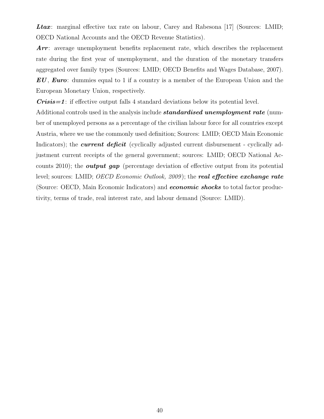Ltax: marginal effective tax rate on labour, Carey and Rabesona [17] (Sources: LMID; OECD National Accounts and the OECD Revenue Statistics).

Arr: average unemployment benefits replacement rate, which describes the replacement rate during the first year of unemployment, and the duration of the monetary transfers aggregated over family types (Sources: LMID; OECD Benefits and Wages Database, 2007). EU, Euro: dummies equal to 1 if a country is a member of the European Union and the European Monetary Union, respectively.

 $Crisis=1$ : if effective output falls 4 standard deviations below its potential level.

Additional controls used in the analysis include **standardised unemployment rate** (number of unemployed persons as a percentage of the civilian labour force for all countries except Austria, where we use the commonly used definition; Sources: LMID; OECD Main Economic Indicators); the *current deficit* (cyclically adjusted current disbursement - cyclically adjustment current receipts of the general government; sources: LMID; OECD National Accounts 2010); the *output gap* (percentage deviation of effective output from its potential level; sources: LMID; *OECD Economic Outlook, 2009*); the **real effective exchange rate** (Source: OECD, Main Economic Indicators) and **economic shocks** to total factor productivity, terms of trade, real interest rate, and labour demand (Source: LMID).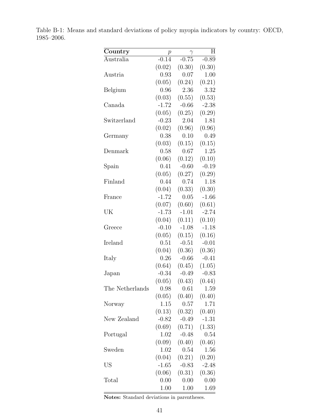| Country         | р        | $\gamma$ | H       |
|-----------------|----------|----------|---------|
| Australia       | $-0.14$  | $-0.75$  | $-0.89$ |
|                 | (0.02)   | (0.30)   | (0.30)  |
| Austria         | 0.93     | 0.07     | 1.00    |
|                 | (0.05)   | (0.24)   | (0.21)  |
| Belgium         | 0.96     | 2.36     | 3.32    |
|                 | (0.03)   | (0.55)   | (0.53)  |
| Canada          | $-1.72$  | $-0.66$  | $-2.38$ |
|                 | (0.05)   | (0.25)   | (0.29)  |
| Switzerland     | $-0.23$  | 2.04     | 1.81    |
|                 | (0.02)   | (0.96)   | (0.96)  |
| Germany         | 0.38     | 0.10     | 0.49    |
|                 | (0.03)   | (0.15)   | (0.15)  |
| Denmark         | 0.58     | 0.67     | 1.25    |
|                 | (0.06)   | (0.12)   | (0.10)  |
| Spain           | 0.41     | $-0.60$  | $-0.19$ |
|                 | (0.05)   | (0.27)   | (0.29)  |
| Finland         | 0.44     | 0.74     | 1.18    |
|                 | (0.04)   | (0.33)   | (0.30)  |
| France          | $-1.72$  | 0.05     | $-1.66$ |
|                 | (0.07)   | (0.60)   | (0.61)  |
| UK              | $-1.73$  | $-1.01$  | $-2.74$ |
|                 | (0.04)   | (0.11)   | (0.10)  |
| Greece          | $-0.10$  | $-1.08$  | $-1.18$ |
|                 | (0.05)   | (0.15)   | (0.16)  |
| Ireland         | 0.51     | $-0.51$  | $-0.01$ |
|                 | (0.04)   | (0.36)   | (0.36)  |
| Italy           | 0.26     | $-0.66$  | $-0.41$ |
|                 | (0.64)   | (0.45)   | (1.05)  |
| Japan           | $-0.34$  | $-0.49$  | $-0.83$ |
|                 | (0.05)   | (0.43)   | (0.44)  |
| The Netherlands | 0.98     | 0.61     | 1.59    |
|                 | (0.05)   | (0.40)   | (0.40)  |
| Norway          | 1.15     | 0.57     | 1.71    |
|                 | (0.13)   | (0.32)   | (0.40)  |
| New Zealand     | $-0.82$  | $-0.49$  | $-1.31$ |
|                 | (0.69)   | (0.71)   | (1.33)  |
| Portugal        | 1.02     | $-0.48$  | 0.54    |
|                 | (0.09)   | (0.40)   | (0.46)  |
| Sweden          | 1.02     | 0.54     | 1.56    |
|                 | (0.04)   | (0.21)   | (0.20)  |
| US              | $-1.65$  | $-0.83$  | $-2.48$ |
|                 | (0.06)   | (0.31)   | (0.36)  |
| Total           | 0.00     | 0.00     | 0.00    |
|                 | $1.00\,$ | 1.00     | 1.69    |

Table B-1: Means and standard deviations of policy myopia indicators by country: OECD, 1985–2006.

Notes: Standard deviations in parentheses.